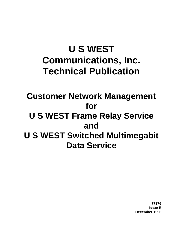# **U S WEST Communications, Inc. Technical Publication**

**Customer Network Management for U S WEST Frame Relay Service and U S WEST Switched Multimegabit Data Service**

> **77376 Issue B December 1996**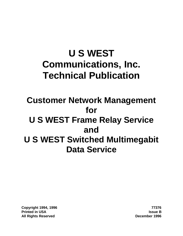# **U S WEST Communications, Inc. Technical Publication**

# **Customer Network Management for U S WEST Frame Relay Service and U S WEST Switched Multimegabit Data Service**

**Copyright 1994, 1996 77376 Printed in USA Issue B All Rights Reserved December 1996**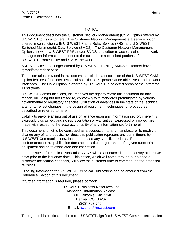#### **NOTICE**

This document describes the Customer Network Management (CNM) Option offered by U S WEST to its customers. The Customer Network Management is a service option offered in conjunction with U S WEST Frame Relay Service (FRS) and U S WEST Switched Multimegabit Data Service (SMDS). The Customer Network Management Options allows a U S WEST FRS and/or SMDS subscriber to access selected network management information pertinent to the customer's subscribed portions of the U S WEST Frame Relay and SMDS Network.

SMDS service is no longer offered by U S WEST. Existing SMDS customers have "grandfathered" service.

The information provided in this document includes a description of the U S WEST CNM Option features, functions, technical specifications, performance objectives, and network interfaces. The CNM Option is offered by U S WEST in selected areas of the intrastate jurisdictions.

U S WEST Communications, Inc. reserves the right to revise this document for any reason, including but not limited to, conformity with standards promulgated by various governmental or regulatory agencies; utilization of advances in the state of the technical arts; or to reflect changes in the design of equipment, techniques, or procedures described or referred to herein.

Liability to anyone arising out of use or reliance upon any information set forth herein is expressly disclaimed, and no representation or warranties, expressed or implied, are made with respect to the accuracy or utility of any information set forth herein.

This document is not to be construed as a suggestion to any manufacturer to modify or change any of its products, nor does this publication represent any commitment by U S WEST Communications, Inc. to purchase any specific products. Further, conformance to this publication does not constitute a guarantee of a given supplier's equipment and/or its associated documentation.

Future issues of Technical Publication 77376 will be announced to the industry at least 45 days prior to the issuance date. This notice, which will come through our standard customer notification channels, will allow the customer time to comment on the proposed revisions.

Ordering information for U S WEST Technical Publications can be obtained from the Reference Section of this document.

If further information is required, please contact:

U S WEST Business Resources, Inc. Manager - Information Release 1801 California, Rm. 1340 Denver, CO 80202 (303) 707-7454 E-mail: svenett@uswest.com

Throughout this publication, the term U S WEST signifies U S WEST Communications, Inc.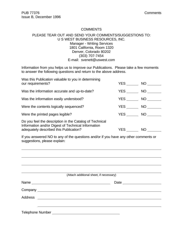#### **COMMENTS**

#### PLEASE TEAR OUT AND SEND YOUR COMMENTS/SUGGESTIONS TO: U S WEST BUSINESS RESOURCES, INC. Manager - Writing Services 1801 California, Room 1320 Denver, Colorado 80202 (303) 707-7454 E-mail: svenett@uswest.com

Information from you helps us to improve our Publications. Please take a few moments to answer the following questions and return to the above address.

| Was this Publication valuable to you in determining<br>our requirements?                                                                                | YES        | NO <sub>1</sub> |
|---------------------------------------------------------------------------------------------------------------------------------------------------------|------------|-----------------|
| Was the information accurate and up-to-date?                                                                                                            | YES        | NO.             |
| Was the information easily understood?                                                                                                                  | YES        | NO              |
| Were the contents logically sequenced?                                                                                                                  | <b>YES</b> | NO              |
| Were the printed pages legible?                                                                                                                         | <b>YES</b> | NO              |
| Do you feel the description in the Catalog of Technical<br>Information and/or Digest of Technical Information<br>adequately described this Publication? | YES        | <b>NO</b>       |

If you answered NO to any of the questions and/or if you have any other comments or suggestions, please explain:

|                                                                                                                            | (Attach additional sheet, if necessary) |
|----------------------------------------------------------------------------------------------------------------------------|-----------------------------------------|
| Name                                                                                                                       | Date                                    |
|                                                                                                                            |                                         |
|                                                                                                                            |                                         |
|                                                                                                                            |                                         |
| <b>Telephone Number and Service Services</b> and Services and Services and Services and Services and Services and Services |                                         |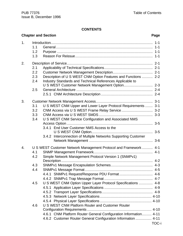### **CONTENTS**

|    |                                        | <b>Chapter and Section</b>                                                                                                                                                                                                                                                                                                                                                        | Page  |
|----|----------------------------------------|-----------------------------------------------------------------------------------------------------------------------------------------------------------------------------------------------------------------------------------------------------------------------------------------------------------------------------------------------------------------------------------|-------|
| 1. | 1.1<br>1.2<br>1.3                      |                                                                                                                                                                                                                                                                                                                                                                                   |       |
| 2. | 2.1<br>2.2<br>2.3<br>2.4<br>2.5        | Description of U S WEST CNM Option Features and Functions  2-2<br>Industry Standards and Technical References Applicable to<br>U S WEST Customer Network Management Option 2-3                                                                                                                                                                                                    |       |
| 3. | 3.1<br>3.2<br>3.3<br>3.4               | U S WEST CNM Upper and Lower Layer Protocol Requirements  3-1<br>U S WEST CNM Service Configuration and Associated NMS<br>3.4.1 End User Customer NMS Access to the<br>3.4.2 Interconnection of Multiple Networks Supporting Customer                                                                                                                                             |       |
| 4. | 4.1<br>4.2<br>4.3<br>4.4<br>4.5<br>4.6 | U S WEST Customer Network Management Protocol and Framework 4-1<br>Simple Network Management Protocol Version 1 (SNMPv1)<br>U S WEST CNM Option Upper Layer Protocol Specifications  4-8<br>U S WEST CNM Platform Router and Customer Router<br>4.6.1 CNM Platform Router General Configuration Information 4-11<br>4.6.2 Customer Router General Configuration Information  4-11 |       |
|    |                                        |                                                                                                                                                                                                                                                                                                                                                                                   | TOC-i |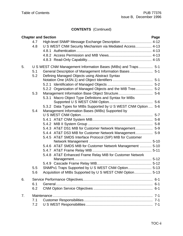# **CONTENTS** (Continued)

|    |     | <b>Chapter and Section</b>                                      | Page |
|----|-----|-----------------------------------------------------------------|------|
|    | 4.7 | High-level SNMP Message Exchange Description  4-12              |      |
|    | 4.8 | U S WEST CNM Security Mechanism via Mediated Access 4-13        |      |
|    |     |                                                                 |      |
|    |     |                                                                 |      |
|    |     |                                                                 |      |
| 5. |     | U S WEST CNM Management Information Bases (MIBs) and Traps 5-1  |      |
|    | 5.1 | General Description of Management Information Bases 5-1         |      |
|    | 5.2 | Defining Managed Objects using Abstract Syntax                  |      |
|    |     |                                                                 |      |
|    |     |                                                                 |      |
|    |     | 5.2.2 Organization of Managed Objects and the MIB Tree 5-2      |      |
|    | 5.3 |                                                                 |      |
|    |     | Macro Object Type Definitions and Syntax for MIBs<br>5.3.1      |      |
|    |     |                                                                 |      |
|    |     | 5.3.2 Data Types for MIBs Supported by U S WEST CNM Option  5-6 |      |
|    | 5.4 | Management Information Bases (MIBs) Supported by                |      |
|    |     |                                                                 |      |
|    |     |                                                                 |      |
|    |     |                                                                 |      |
|    |     | 5.4.3 AT&T DS1 MIB for Customer Network Management 5-9          |      |
|    |     | 5.4.4 AT&T DS3 MIB for Customer Network Management 5-9          |      |
|    |     | 5.4.5 AT&T SMDS Interface Protocol (SIP) MIB for Customer       |      |
|    |     |                                                                 |      |
|    |     | 5.4.6 AT&T SMDS MIB for Customer Network Management  5-10       |      |
|    |     |                                                                 |      |
|    |     | 5.4.8 AT&T Enhanced Frame Relay MIB for Customer Network        |      |
|    |     |                                                                 |      |
|    |     |                                                                 |      |
|    | 55  | SNMPv1 Traps Supported by U S WEST CNM Option 5-13              |      |
|    | 5.6 | Acquisition of MIBs Supported by U S WEST CNM Option 5-13       |      |
| 6. |     |                                                                 |      |
|    | 6.1 |                                                                 |      |
|    | 6.2 |                                                                 |      |
| 7. |     |                                                                 |      |
|    | 7.1 |                                                                 |      |
|    | 7.2 |                                                                 |      |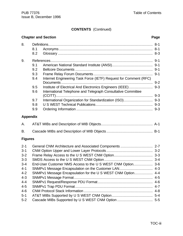# **CONTENTS** (Continued)

# **Chapter and Section Page**

| 8. |     |                                                                  |         |
|----|-----|------------------------------------------------------------------|---------|
|    | 8.1 |                                                                  |         |
|    | 8.2 |                                                                  |         |
| 9. |     |                                                                  |         |
|    | 9.1 |                                                                  |         |
|    | 9.2 |                                                                  |         |
|    | 9.3 |                                                                  |         |
|    | 9.4 | Internet Engineering Task Force (IETF) Request for Comment (RFC) |         |
|    |     |                                                                  | $9 - 2$ |
|    | 9.5 |                                                                  |         |
|    | 9.6 | International Telephone and Telegraph Consultative Committee     |         |
|    |     |                                                                  | $9 - 3$ |
|    | 9.7 |                                                                  |         |
|    | 9.8 |                                                                  | $9 - 3$ |
|    | 9.9 |                                                                  | $9 - 3$ |
|    |     |                                                                  |         |

### **Appendix**

### **Figures**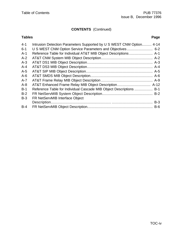#### **CONTENTS** (Continued)

# **Tables Page** 4-1 Intrusion Detection Parameters Supported by U S WEST CNM Option......... 4-14 6-1 U S WEST CNM Option Service Parameters and Objectives ........................ 6-2 A-1 Reference Table for Individual AT&T MIB Object Descriptions ...................... A-1 A-2 AT&T CNM System MIB Object Description................................................ A-2

| $A - 4$ |                                                                     |  |
|---------|---------------------------------------------------------------------|--|
| $A-5$   |                                                                     |  |
| $A-6$   |                                                                     |  |
| $A - 7$ |                                                                     |  |
| $A - 8$ |                                                                     |  |
| $B-1$   | Reference Table for Individual Cascade MIB Object Descriptions  B-1 |  |
| $B-2$   |                                                                     |  |
| $B-3$   | FR NetServMIB Interface Object                                      |  |
|         |                                                                     |  |
| $B-4$   |                                                                     |  |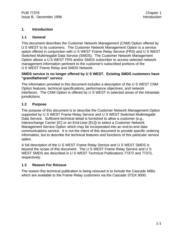#### **1. Introduction**

#### **1.1 General**

This document describes the Customer Network Management (CNM) Option offered by U S WEST to its customers. The Customer Network Management Option is a service option offered in conjunction with U S WEST Frame Relay Service (FRS) and U S WEST Switched Multimegabit Data Service (SMDS). The Customer Network Management Option allows a U S WEST FRS and/or SMDS subscriber to access selected network management information pertinent to the customer's subscribed portions of the U S WEST Frame Relay and SMDS Network.

#### **SMDS service is no longer offered by U S WEST. Existing SMDS customers have "grandfathered" service**

The information provided in this document includes a description of the U S WEST CNM Option features, technical specifications, performance objectives, and network interfaces. The CNM Option is offered by U S WEST in selected areas of the intrastate jurisdictions.

#### **1.2 Purpose**

The purpose of this document is to describe the Customer Network Management Option supported by U S WEST Frame Relay Service and U S WEST Switched Multimegabit Data Service. Sufficient technical detail is furnished to allow a customer (e.g., Interexchange Carrier [IC] or an End-User [EU]) to select a Customer Network Management Service Option which may be incorporated into an end-to-end data communications service. It is not the intent of this document to provide specific ordering information, but to describe the technical features and functions of this particular service option.

A full description of the U S WEST Frame Relay Service and U S WEST SMDS is beyond the scope of this document. The U S WEST Frame Relay Service and U S WEST SMDS are described in U S WEST Technical Publications 77372 and 77373, respectively.

#### **1.3 Reason For Reissue**

The reason this technical publication is being reissued is to include the Cascade MIBs which are available to the Frame Relay customers via the Cascade STDX 9000.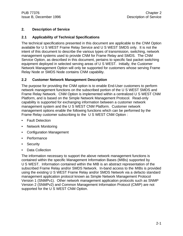#### **2. Description of Service**

#### **2.1 Applicability of Technical Specifications**

The technical specifications presented in this document are applicable to the CNM Option available for U S WEST Frame Relay Service and U S WEST SMDS only. It is not the intent of this document to describe the various types of transmission, switching, network management systems used to provide CNM for Frame Relay and SMDS. The CNM Service Option, as described in this document, pertains to specific fast packet switching equipment deployed in selected serving areas of U S WEST. Initially, the Customer Network Management Option will only be supported for customers whose serving Frame Relay Node or SMDS Node contains CNM capability.

#### **2.2 Customer Network Management Description**

The purpose for providing the CNM option is to enable End-User customers to perform network management functions on the subscribed portion of the U S WEST SMDS and Frame Relay Network. CNM Option is implemented within a centralized U S WEST CNM Platform, and is based on the Simple Network Management Protocol. Read-only capability is supported for exchanging information between a customer network management system and the U S WEST CNM Platform. Customer network management options enable the following functions which can be performed by the Frame Relay customer subscribing to the U S WEST CNM Option :

- Fault Detection
- Network Monitoring
- Configuration Management
- Performance
- Security
- Data Collection

The information necessary to support the above network management functions is contained within the specific Management Information Bases (MIBs) supported by U S WEST. Information contained within the MIB is an abstract representation of the subscribed Frame Relay and/or SMDS Network. In-band access to the MIBs is provided using the existing U S WEST Frame Relay and/or SMDS Network via a defacto standard management application protocol known as Simple Network Management Protocol Version 1 (SNMPv1). Other network management application protocols such as SNMP Version 2 (SNMPv2) and Common Management Information Protocol (CMIP) are not supported for the U S WEST CNM Option.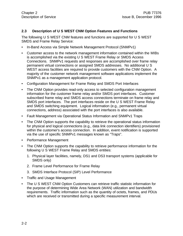#### **2.3 Description of U S WEST CNM Option Features and Functions**

The following U S WEST CNM features and functions are supported for U S WEST SMDS and Frame Relay Service:

- In-Band Access via Simple Network Management Protocol (SNMPv1)
- Customer access to the network management information contained within the MIBs is accomplished via the existing U S WEST Frame Relay or SMDS Access Connections. SNMPv1 requests and responses are accomplished over frame relay permanent virtual connections or assigned SMDS addresses. No additional U S WEST access facilities are required to provide customers with the CNM Option. A majority of the customer network management software applications implement the SNMPv1 as a management application protocol.
- Configuration Management for Frame Relay and SMDS Port Interfaces
- The CNM Option provides read-only access to selected configuration management information for the customer frame relay and/or SMDS port interfaces. Customer subscribed frame relay and SMDS access connections terminate on frame relay and SMDS port interfaces. The port interfaces reside on the U S WEST Frame Relay and SMDS switching equipment. Logical information (e.g., permanent virtual connections, address) associated with the port interfaces is also available.
- Fault Management via Operational Status Information and SNMPv1 Traps
- The CNM Option supports the capability to retrieve the operational status information for physical and logical connections (e.g., data link connection identifiers) provisioned within the customer's access connection. In addition, event notification is supported via the use of specific SNMPv1 messages known as "Traps".
- Performance Management
- The CNM Option supports the capability to retrieve performance information for the following U S WEST Frame Relay and SMDS entities:
	- 1. Physical layer facilities, namely, DS1 and DS3 transport systems (applicable for SMDS only)
	- 2. Frame Level Performance for Frame Relay
	- 3. SMDS Interface Protocol (SIP) Level Performance
- Traffic and Usage Management
- The U S WEST CNM Option Customers can retrieve traffic statistic information for the purpose of determining Wide Area Network (WAN) utilization and bandwidth requirements. Traffic information such as the quantity of octets, frames, and PDUs which are received or transmitted during a specific measurement interval.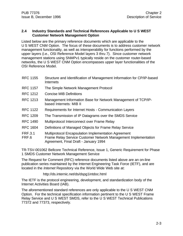#### **2.4 Industry Standards and Technical References Applicable to U S WEST Customer Network Management Option**

Listed below are the primary reference documents which are applicable to the U S WEST CNM Option. The focus of these documents is to address customer network management functionality, as well as interoperability for functions performed by the upper layers (i.e., OSI Reference Model layers 3 thru 7). Since customer network management stations using SNMPv1 typically reside on the customer router-based networks, the U S WEST CNM Option encompasses upper layer functionalities of the OSI Reference Model.

- RFC 1155 Structure and Identification of Management Information for CP/IP-based Internets
- RFC 1157 The Simple Network Management Protocol
- RFC 1212 Concise MIB Definitions
- RFC 1213 Management Information Base for Network Management of TCP/IPbased Internets: MIB II
- RFC 1122 Requirements for Internet Hosts Communication Layers
- RFC 1209 The Transmission of IP Datagrams over the SMDS Service
- RFC 1490 Multiprotocol Interconnect over Frame Relay
- RFC 1604 Definitions of Managed Objects for Frame Relay Service
- FRF.3.1 Multiprotocol Encapsulation Implementation Agreement
- FRF.6 Frame Relay Service Customer Network Management Implementation Agreement, Final Draft - January 1994

TR-TSV-001062 Bellcore Technical Reference, Issue 1, Generic Requirement for Phase 1 SMDS Customer Network Management Service

The Request for Comment (RFC) reference documents listed above are an on-line publication series maintained by the Internet Engineering Task Force (IETF), and are located in the *Internet* Repository via the World Wide Web site at:

#### http://ds.internic.net/ds/dspg1intdoc.html

The IETF is the protocol engineering, development, and standardization body of the Internet Activities Board (IAB).

The aforementioned standard references are only applicable to the U S WEST CNM Option. For the technical specification information pertinent to the U S WEST Frame Relay Service and U S WEST SMDS, refer to the U S WEST Technical Publications 77372 and 77373, respectively.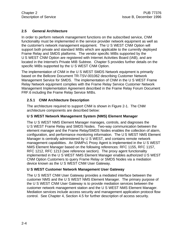#### **2.5 General Architecture**

In order to perform network management functions on the subscribed service, CNM functionality must be implemented in the service provider network equipment as well as the customer's network management equipment. The U S WEST CNM Option will support both private and standard MIBs which are applicable to the currently deployed Frame Relay and SMDS platforms. The vendor specific MIBs supported by the U S WEST CNM Option are registered with Internet Activities Board (IAB), and are located in the Internet's Private MIB Subtree. Chapter 5 provides further details on the specific MIBs supported by the U S WEST CNM Option.

The implementation of CNM in the U S WEST SMDS Network equipment is primarily based on the Bellcore Document TR-TSV-001062 describing Customer Network Management Service for SMDS. The implementation of CNM in the U S WEST Frame Relay Network equipment complies with the Frame Relay Service Customer Network Management Implementation Agreement described in the Frame Relay Forum Document FRF.6 including the Frame Relay Service MIBs.

#### **2.5.1 CNM Architecture Description**

The architecture required to support CNM is shown in Figure 2-1. The CNM architecture components are described below:

#### **U S WEST Network Management System (NMS) Element Manager**

The U S WEST NMS Element Manager manages, controls, and diagnoses the U S WEST Frame Relay and SMDS Nodes. Two-way communication between the element manager and the Frame Relay/SMDS Nodes enables the collection of alarm, configuration, and performance monitoring information. The U S WEST NMS Element Manager is centrally administered by U S WEST, and contains remote network management capabilities. An SNMPv1 Proxy Agent is implemented in the U S WEST NMS Element Manager based on the following references: RFC 1155, RFC 1157, RFC 1212, RFC 1213 (see reference section). The proxy agent functionality implemented in the U S WEST NMS Element Manager enables authorized U S WEST CNM Option Customers to query Frame Relay or SMDS Nodes via a mediation device known as the U S WEST CNM User Gateway.

#### **U S WEST Customer Network Management User Gateway**

The U S WEST CNM User Gateway provides a mediated interface between the customer NMS and the U S WEST NMS Element Manager. The primary purpose of the U S WEST CNM User Gateway is to provide mediation services between the customer network management station and the U S WEST NMS Element Manager. Mediation services include access security and management application protocol flow control. See Chapter 4, Section 4.5 for further description of access security.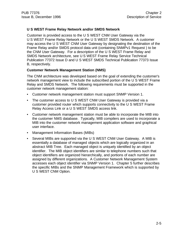#### **U S WEST Frame Relay Network and/or SMDS Network**

Customer is provided access to the U S WEST CNM User Gateway via the U S WEST Frame Relay Network or the U S WEST SMDS Network. A customer may access the U S WEST CNM User Gateway by designating the destination of the Frame Relay and/or SMDS protocol data unit (containing SNMPv1 Request ) to be the CNM User Gateway. For a description of the U S WEST Frame Relay and SMDS Network architecture, see U S WEST Frame Relay Service Technical Publication 77372 Issue D and U S WEST SMDS Technical Publication 77373 Issue B, respectively.

#### **Customer Network Management Station (NMS)**

The CNM architecture was developed based on the goal of extending the customer's network management view to include the subscribed portion of the U S WEST Frame Relay and SMDS Network. The following requirements must be supported in the customer network management station:

- Customer network management station must support SNMP Version 1.
- The customer access to U S WEST CNM User Gateway is provided via a customer provided router which supports connectivity to the U S WEST Frame Relay Access Link or a U S WEST SMDS access link.
- Customer network management station must be able to incorporate the MIB into the customer NMS database. Typically, MIB compilers are used to incorporate a MIB into the customer network management application software and graphical user interface.
- Management Information Bases (MIBs)
- Several MIBs are supported via the U S WEST CNM User Gateway. A MIB is essentially a database of managed objects which are logically organized in an abstract MIB Tree. Each managed object is uniquely identified by an object identifier. The MIB object identifiers are similar to telephone numbers such that object identifiers are organized hierarchically, and portions of each number are assigned by different organizations. A Customer Network Management System accesses each object identifier via SNMP Version 1. Chapter 5 further describes the specific MIBs and the SNMP Management Framework which is supported by U S WEST CNM Option.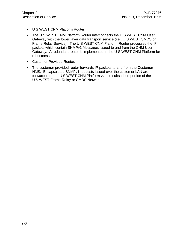- U S WEST CNM Platform Router
- The U S WEST CNM Platform Router interconnects the U S WEST CNM User Gateway with the lower layer data transport service (i.e., U S WEST SMDS or Frame Relay Service). The U S WEST CNM Platform Router processes the IP packets which contain SNMPv1 Messages issued to and from the CNM User Gateway. A redundant router is implemented in the U S WEST CNM Platform for robustness.
- Customer Provided Router.
- The customer provided router forwards IP packets to and from the Customer NMS. Encapsulated SNMPv1 requests issued over the customer LAN are forwarded to the U S WEST CNM Platform via the subscribed portion of the U S WEST Frame Relay or SMDS Network.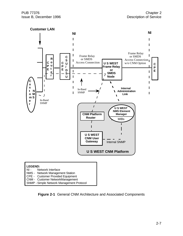

**Figure 2-1** General CNM Architecture and Associated Components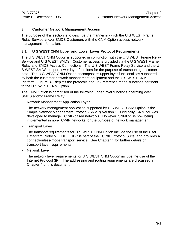#### **3. Customer Network Management Access**

The purpose of this section is to describe the manner in which the U S WEST Frame Relay Service and/or SMDS Customers with the CNM Option access network management information.

#### **3.1 U S WEST CNM Upper and Lower Layer Protocol Requirements**

The U S WEST CNM Option is supported in conjunction with the U S WEST Frame Relay Service and U S WEST SMDS. Customer access is provided via the U S WEST Frame Relay and SMDS Access Connections. The U S WEST Frame Relay Service and the U S WEST SMDS support lower layer functions for the purpose of transporting customer data. The U S WEST CNM Option encompasses upper layer functionalities supported by both the customer network management equipment and the U S WEST CNM Platform. Figure 3-1 depicts the protocols and OSI reference model functions pertinent to the U S WEST CNM Option.

The CNM Option is comprised of the following upper layer functions operating over SMDS and/or Frame Relay:

• Network Management Application Layer

The network management application supported by U S WEST CNM Option is the Simple Network Management Protocol (SNMP) Version 1. Originally, SNMPv1 was developed to manage TCP/IP-based networks. However, SNMPv1 is now being implemented in non-TCP/IP networks for the purpose of network management.

• Transport Layer

The transport requirements for U S WEST CNM Option include the use of the User Datagram Protocol (UDP). UDP is part of the TCP/IP Protocol Suite, and provides a connectionless-mode transport service. See Chapter 4 for further details on transport layer requirements.

• Network Layer

The network layer requirements for U S WEST CNM Option include the use of the Internet Protocol (IP). The addressing and routing requirements are discussed in Chapter 4 of this document.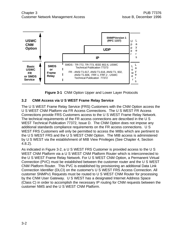

**Figure 3-1** CNM Option Upper and Lower Layer Protocols

#### **3.2 CNM Access via U S WEST Frame Relay Service**

The U S WEST Frame Relay Service (FRS) Customers with the CNM Option access the U S WEST CNM Platform via FR Access Connections. The U S WEST FR Access Connections provide FRS Customers access to the U S WEST Frame Relay Network. The technical requirements of the FR access connections are described in the U S WEST Technical Publication 77372, Issue D. The CNM Option does not impose any additional standards compliance requirements on the FR access connections. U S WEST FRS Customers will only be permitted to access the MIBs which are pertinent to the U S WEST FRS and the U S WEST CNM Option. The MIB access is administered by U S WEST via the establishment of MIB View Privileges (See Chapter 4, Section 4.8.2).

As indicated in Figure 3-2, a U S WEST FRS Customer is provided access to the U S WEST CNM Platform via a U S WEST CNM Platform Router which is interconnected to the U S WEST Frame Relay Network. For U S WEST CNM Option, a Permanent Virtual Connection (PVC) must be established between the customer router and the U S WEST CNM Platform Router. This PVC is established by provisioning an additional Data Link Connection Identifier (DLCI) on the customer's U S WEST FRS Access Connection. All customer SNMPv1 Requests must be routed to U S WEST CNM Router for processing by the CNM User Gateway. U S WEST has a designated Internet Address Space (Class C) in order to accomplish the necessary IP routing for CNM requests between the customer NMS and the U S WEST CNM Platform.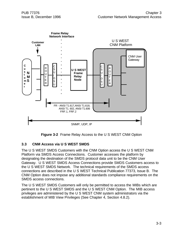

**Figure 3-2** Frame Relay Access to the U S WEST CNM Option

#### **3.3 CNM Access via U S WEST SMDS**

The U S WEST SMDS Customers with the CNM Option access the U S WEST CNM Platform via SMDS Access Connections. Customer accesses the platform by designating the destination of the SMDS protocol data unit to be the CNM User Gateway. U S WEST SMDS Access Connections provide SMDS Customers access to the U S WEST SMDS Network. The technical requirements of the SMDS access connections are described in the U S WEST Technical Publication 77373, Issue B. The CNM Option does not impose any additional standards compliance requirements on the SMDS access connections.

The U S WEST SMDS Customers will only be permitted to access the MIBs which are pertinent to the U S WEST SMDS and the U S WEST CNM Option. The MIB access privileges are administered by the U S WEST CNM system administrators via the establishment of MIB View Privileges (See Chapter 4, Section 4.8.2).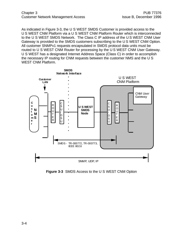As indicated in Figure 3-3, the U S WEST SMDS Customer is provided access to the U S WEST CNM Platform via a U S WEST CNM Platform Router which is interconnected to the U S WEST SMDS Network. The Class C IP address of the U S WEST CNM User Gateway is provided to the SMDS customers subscribing to the U S WEST CNM Option. All customer SNMPv1 requests encapsulated in SMDS protocol data units must be routed to U S WEST CNM Router for processing by the U S WEST CNM User Gateway. U S WEST has a designated Internet Address Space (Class C) in order to accomplish the necessary IP routing for CNM requests between the customer NMS and the U S WEST CNM Platform.



**Figure 3-3** SMDS Access to the U S WEST CNM Option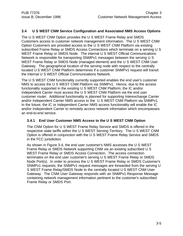#### **3.4 U S WEST CNM Service Configuration and Associated NMS Access Options**

The U S WEST CNM Option provides the U S WEST Frame Relay and SMDS Customers access to customer network management information. The U S WEST CNM Option Customers are provided access to the U S WEST CNM Platform via existing subscribed Frame Relay or SMDS Access Connections which terminate on a serving U S WEST Frame Relay or SMDS Node. The internal U S WEST Official Communications Network is responsible for transporting SNMPv1 messages between the serving U S WEST Frame Relay or SMDS Node (managed element) and the U S WEST CNM User Gateway. The geographical location of the serving node with respect to the centrally located U S WEST CNM Platform determines if a customer SNMPv1 request will transit the internal U S WEST Official Communications Network.

The U S WEST CNM functionality currently supported enables the end user's customer NMS to access the U S WEST CNM Platform via SNMPv1. Hence, due to the access functionality supported in the existing U S WEST CNM Platform, the IC and/or Independent Carrier must access the U S WEST CNM Platform via the end user customer router. Additional functionality is planned for supporting Interexchange Carrier and/or Independent Carrier NMS access to the U S WEST CNM Platform via SNMPv1. In the future, the IC or Independent Carrier NMS access functionality will enable the IC and/or Independent Carrier to remotely access network information which encompasses an end-to-end service.

#### **3.4.1 End User Customer NMS Access to the U S WEST CNM Option**

The CNM Option for U S WEST Frame Relay Service and SMDS is offered in the respective state tariffs within the U S WEST Serving Territory. The U S WEST CNM Option is offered in conjunction with the U S WEST Frame Relay Service and SMDS in the FCC jurisdiction.

As shown in Figure 3-4, the end user customer's NMS accesses the U S WEST Frame Relay or SMDS Network supporting CNM via an existing subscribed U S WEST Frame Relay or SMDS Access Connection. The access connection terminates on the end user customer's serving U S WEST Frame Relay or SMDS Node Port(s). In order to process the U S WEST Frame Relay or SMDS Customer's SNMPv1 requests, the SNMPv1 request messages are forwarded from the serving U S WEST Frame Relay/SMDS Node to the centrally located U S WEST CNM User Gateway. The CNM User Gateway responds with an SNMPv1 Response Message containing network management information pertinent to the customer's subscribed Frame Relay or SMDS Port.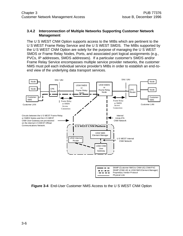#### **3.4.2 Interconnection of Multiple Networks Supporting Customer Network Management**

The U S WEST CNM Option supports access to the MIBs which are pertinent to the U S WEST Frame Relay Service and the U S WEST SMDS. The MIBs supported by the U S WEST CNM Option are solely for the purpose of managing the U S WEST SMDS or Frame Relay Nodes, Ports, and associated port logical assignments (e.g., PVCs, IP addresses, SMDS addresses). If a particular customer's SMDS and/or Frame Relay Service encompasses multiple service provider networks, the customer NMS must poll each individual service provider's MIBs in order to establish an end-toend view of the underlying data transport services.



**Figure 3-4** End-User Customer NMS Access to the U S WEST CNM Option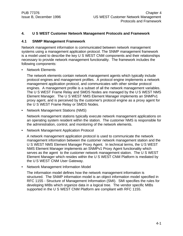#### **4. U S WEST Customer Network Management Protocols and Framework**

#### **4.1 SNMP Management Framework**

Network management information is communicated between network management systems using a management application protocol. The SNMP management framework is a model used to describe the key U S WEST CNM components and their relationships necessary to provide network management functionality. The framework includes the following components:

• Network Elements

The network elements contain network management agents which typically include protocol engines and management profiles. A protocol engine implements a network management application protocol, and communicates with other similar protocol engines. A management profile is a subset of all the network management variables. The U S WEST Frame Relay and SMDS Nodes are managed by the U S WEST NMS Element Manager. The U S WEST NMS Element Manager implements an SNMPv1 proxy agent, and is perceived by the customer's protocol engine as a proxy agent for the U S WEST Frame Relay or SMDS Nodes.

• Network Management Stations (NMS)

Network management stations typically execute network management applications on an operating system resident within the station. The customer NMS is responsible for the administration, control, and monitoring of the network elements.

• Network Management Application Protocol

A network management application protocol is used to communicate the network management information between the customer network management station and the U S WEST NMS Element Manager Proxy Agent. In technical terms, the U S WEST NMS Element Manager implements an SNMPv1 Proxy Agent functionality which serves as the agent to the customer network management station. The U S WEST Element Manager which resides within the U S WEST CNM Platform is mediated by the U S WEST CNM User Gateway.

• Network Management Information Model

The information model defines how the network management information is structured. The SNMP information model is an object information model specified in RFC 1155 - Structure of Management Information (SMI). SMI specifies the rules for developing MIBs which organize data in a logical tree. The vendor specific MIBs supported in the U S WEST CNM Platform are compliant with RFC 1155.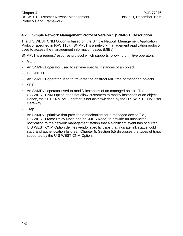#### **4.2 Simple Network Management Protocol Version 1 (SNMPv1) Description**

The U S WEST CNM Option is based on the Simple Network Management Application Protocol specified in RFC 1157. SNMPv1 is a network management application protocol used to access the management information bases (MIBs).

SNMPv1 is a request/response protocol which supports following primitive operators:

- GET.
- An SNMPv1 operator used to retrieve specific instances of an object.
- GET-NEXT.
- An SNMPv1 operator used to traverse the abstract MIB tree of managed objects.
- SET.
- An SNMPv1 operator used to modify instances of an managed object. The U S WEST CNM Option does not allow customers to modify instances of an object. Hence, the SET SNMPv1 Operator is not acknowledged by the U S WEST CNM User Gateway.
- Trap.
- An SNMPv1 primitive that provides a mechanism for a managed device (i.e., U S WEST Frame Relay Node and/or SMDS Node) to provide an unsolicited notification to the network management station that a significant event has occurred. U S WEST CNM Option defines vendor specific traps that indicate link status, cold start, and authentication failures. Chapter 5, Section 5.5 discusses the types of traps supported by the U S WEST CNM Option.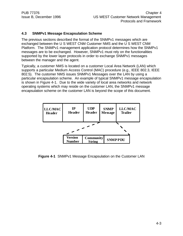#### **4.3 SNMPv1 Message Encapsulation Scheme**

The previous sections described the format of the SNMPv1 messages which are exchanged between the U S WEST CNM Customer NMS and the U S WEST CNM Platform. The SNMPv1 management application protocol determines how the SNMPv1 messages are to be exchanged. However, SNMPv1 must rely on the functionalities supported by the lower layer protocols in order to exchange SNMPv1 messages between the manager and the agent.

Typically, a customer NMS is located on a customer Local Area Network (LAN) which supports a particular Medium Access Control (MAC) procedure (e.g., IEEE 802.3, IEEE 802.5). The customer NMS issues SNMPv1 Messages over the LAN by using a particular encapsulation scheme. An example of typical SNMPv1 message encapsulation is shown in Figure 4-1. Due to the wide variety of local area networks and network operating systems which may reside on the customer LAN, the SNMPv1 message encapsulation scheme on the customer LAN is beyond the scope of this document.



**Figure 4-1** SNMPv1 Message Encapsulation on the Customer LAN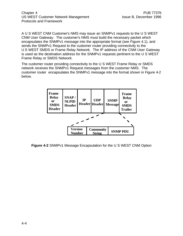A U S WEST CNM Customer's NMS may issue an SNMPv1 requests to the U S WEST CNM User Gateway. The customer's NMS must build the necessary packet which encapsulates the SNMPv1 message into the appropriate format (see Figure 4.1), and sends the SNMPv1 Request to the customer router providing connectivity to the U S WEST SMDS or Frame Relay Network. The IP address of the CNM User Gateway is used as the destination address for the SNMPv1 requests pertinent to the U S WEST Frame Relay or SMDS Network.

The customer router providing connectivity to the U S WEST Frame Relay or SMDS network receives the SNMPv1 Request messages from the customer NMS. The customer router encapsulates the SNMPv1 message into the format shown in Figure 4-2 below.

| <b>Frame</b><br><b>Relay</b><br><sub>or</sub><br><b>SMDS</b><br><b>Header</b> | SNAP/<br><b>NLPID</b><br><b>Header</b> | $\mathbf{IP}$ | <b>UDP</b><br>Header Header       | <b>SNMP</b><br><b>Message</b> | Frame<br><b>Relay</b><br><sub>or</sub><br><b>SMDS</b><br><b>Trailer</b> |
|-------------------------------------------------------------------------------|----------------------------------------|---------------|-----------------------------------|-------------------------------|-------------------------------------------------------------------------|
|                                                                               |                                        |               |                                   |                               |                                                                         |
|                                                                               | <b>Version</b><br><b>Number</b>        |               | <b>Community</b><br><b>String</b> |                               | <b>SNMP PDU</b>                                                         |

**Figure 4-2** SNMPv1 Message Encapsulation for the U S WEST CNM Option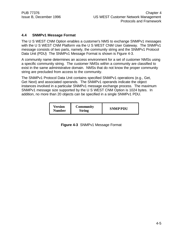#### **4.4 SNMPv1 Message Format**

The U S WEST CNM Option enables a customer's NMS to exchange SNMPv1 messages with the U S WEST CNM Platform via the U S WEST CNM User Gateway. The SNMPv1 message consists of two parts, namely, the community string and the SNMPv1 Protocol Data Unit (PDU) The SNMPv1 Message Format is shown is Figure 4-3.

A community name determines an access environment for a set of customer NMSs using a specific community string. The customer NMSs within a community are classified to exist in the same administrative domain. NMSs that do not know the proper community string are precluded from access to the community.

The SNMPv1 Protocol Data Unit contains specified SNMPv1 operations (e.g., Get, Get Next) and associated operands. The SNMPv1 operands indicate the object instances involved in a particular SNMPv1 message exchange process. The maximum SNMPv1 message size supported by the U S WEST CNM Option is 1024 bytes. In addition, no more than 20 objects can be specified in a single SNMPv1 PDU.

**Figure 4-3** SNMPv1 Message Format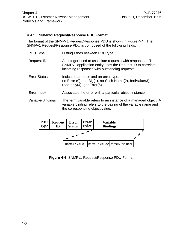#### **4.4.1 SNMPv1 Request/Response PDU Format**

The format of the SNMPv1 Request/Response PDU is shown in Figure 4-4. The SNMPv1 Request/Response PDU is composed of the following fields:

| PDU Type            | Distinguishes between PDU type                                                                                                                                           |
|---------------------|--------------------------------------------------------------------------------------------------------------------------------------------------------------------------|
| <b>Request ID</b>   | An integer used to associate requests with responses. The<br>SNMPv1 application entity uses the Request ID to correlate<br>incoming responses with outstanding requests. |
| <b>Error-Status</b> | Indicates an error and an error type.<br>no Error (0), too Big(1), no Such Name(2), badValue(3),<br>read-only $(4)$ , genError $(5)$                                     |
| Error-Index         | Associates the error with a particular object instance                                                                                                                   |
| Variable-Bindings   | The term variable refers to an instance of a managed object. A<br>variable binding refers to the pairing of the variable name and<br>the corresponding object value.     |



**Figure 4-4** SNMPv1 Request/Response PDU Format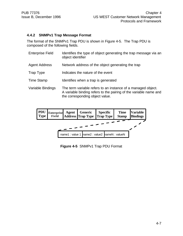#### **4.4.2 SNMPv1 Trap Message Format**

The format of the SNMPv1 Trap PDU is shown in Figure 4-5. The Trap PDU is composed of the following fields.

| <b>Enterprise Field</b> | Identifies the type of object generating the trap message via an<br>object identifier                                                                                |
|-------------------------|----------------------------------------------------------------------------------------------------------------------------------------------------------------------|
| <b>Agent Address</b>    | Network address of the object generating the trap                                                                                                                    |
| Trap Type               | Indicates the nature of the event                                                                                                                                    |
| <b>Time Stamp</b>       | Identifies when a trap is generated                                                                                                                                  |
| Variable Bindings       | The term variable refers to an instance of a managed object.<br>A variable binding refers to the pairing of the variable name and<br>the corresponding object value. |



**Figure 4-5** SNMPv1 Trap PDU Format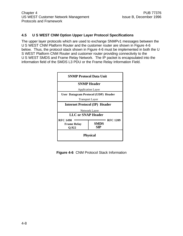#### **4.5 U S WEST CNM Option Upper Layer Protocol Specifications**

The upper layer protocols which are used to exchange SNMPv1 messages between the U S WEST CNM Platform Router and the customer router are shown in Figure 4-6 below. Thus, the protocol stack shown in Figure 4-6 must be implemented in both the U S WEST Platform CNM Router and customer router providing connectivity to the U S WEST SMDS and Frame Relay Network. The IP packet is encapsulated into the information field of the SMDS L3 PDU or the Frame Relay Information Field.



**Figure 4-6** CNM Protocol Stack Information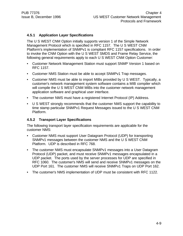#### **4.5.1 Application Layer Specifications**

The U S WEST CNM Option initially supports version 1 of the Simple Network Management Protocol which is specified in RFC 1157. The U S WEST CNM Platform's implementation of SNMPv1 is compliant RFC 1157 specifications. In order to invoke the CNM Option with the U S WEST SMDS and Frame Relay Service, the following general requirements apply to each U S WEST CNM Option Customer:

- Customer Network Management Station must support SNMP Version 1 based on RFC 1157.
- Customer NMS Station must be able to accept SNMPv1 Trap messages.
- Customer NMS must be able to import MIBs provided by U S WEST. Typically, a customer's network management system software contains a MIB compiler which will compile the U S WEST CNM MIBs into the customer network management application software and graphical user interface.
- The customer NMS must have a registered Internet Protocol (IP) Address.
- U S WEST strongly recommends that the customer NMS support the capability to time stamp particular SNMPv1 Request Messages issued to the U S WEST CNM Platform.

#### **4.5.2 Transport Layer Specifications**

The following transport layer specification requirements are applicable for the customer NMS:

- Customer NMS must support User Datagram Protocol (UDP) for transporting SNMPv1 messages between the customer NMS and the U S WEST CNM Platform. UDP is described in RFC 768.
- The customer NMS must encapsulate SNMPv1 messages into a User Datagram Protocol (UDP) packet, and must receive SNMPv1 messages encapsulated in a UDP packet. The ports used by the server processes for UDP are specified in RFC 1060. The customer's NMS will send and receive SNMPv1 messages on the UDP Port 161. The customer NMS will receive SNMPv1 Traps on UDP Port 162.
- The customer's NMS implementation of UDP must be consistent with RFC 1122.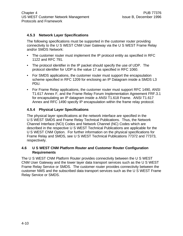#### **4.5.3 Network Layer Specifications**

The following specifications must be supported in the customer router providing connectivity to the U S WEST CNM User Gateway via the U S WEST Frame Relay and/or SMDS Network:

- The customer router must implement the IP protocol entity as specified in RFC 1122 and RFC 791.
- The protocol identifier in the IP packet should specify the use of UDP. The protocol identifier for UDP is the value 17 as specified in RFC 1060.
- For SMDS applications, the customer router must support the encapsulation scheme specified in RFC 1209 for enclosing an IP Datagram inside a SMDS L3 PDU.
- For Frame Relay applications, the customer router must support RFC 1490, ANSI T1.617 Annex F, and the Frame Relay Forum Implementation Agreement FRF.3.1 for encapsulating an IP datagram inside a ANSI T1.618 Frame. ANSI T1.617 Annex and RFC 1490 specify IP encapsulation within the frame relay protocol.

#### **4.5.4 Physical Layer Specifications**

The physical layer specifications at the network interface are specified in the U S WEST SMDS and Frame Relay Technical Publications. Thus, the Network Channel Interface (NCI) Codes and Network Channel (NC) Codes which are described in the respective U S WEST Technical Publications are applicable for the U S WEST CNM Option. For further information on the physical specifications for Frame Relay and SMDS, see U S WEST Technical Publications 77372 and 77373, respectively.

#### **4.6 U S WEST CNM Platform Router and Customer Router Configuration Requirements**

The U S WEST CNM Platform Router provides connectivity between the U S WEST CNM User Gateway and the lower layer data transport services such as the U S WEST Frame Relay Service or SMDS. The customer router provides connectivity between the customer NMS and the subscribed data transport services such as the U S WEST Frame Relay Service or SMDS.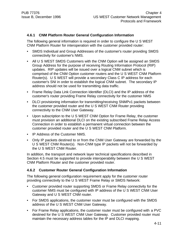#### **4.6.1 CNM Platform Router General Configuration Information**

The following general information is required in order to configure the U S WEST CNM Platform Router for interoperation with the customer provided router:

- SMDS Individual and Group Addresses of the customer's router providing SMDS connectivity for customer's NMS.
- All U S WEST SMDS Customers with the CNM Option will be assigned an SMDS Group Address for the purpose of receiving Routing Information Protocol (RIP) updates. RIP updates will be issued over a logical CNM subnet which is comprised of the CNM Option customer routers and the U S WEST CNM Platform Router(s). U S WEST will provide a secondary Class C IP address for each customer's SNI in order to establish the logical CNM subnet. The secondary IP address should not be used for transmitting data traffic.
- Frame Relay Data Link Connection Identifier (DLCI) and the IP address of the customer's router providing Frame Relay connectivity for the customer NMS
- DLCI provisioning information for transmitting/receiving SNMPv1 packets between the customer provided router and the U S WEST CNM Router providing connectivity to the CNM User Gateway.
- Upon subscription to the U S WEST CNM Option for Frame Relay, the customer must provision an additional DLCI on the existing subscribed Frame Relay Access Connection in order to establish a permanent virtual connection between the customer provided router and the U S WEST CNM Platform.
- IP Address of the Customer NMS.
- Only IP packets destined to or from the CNM User Gateway are forwarded by the U S WEST CNM Router(s). Non-CNM type IP packets will not be forwarded by the U S WEST CNM Router.

In addition, the transport and network layer technical specifications described in Section 4.5 must be supported to provide interoperability between the U S WEST CNM Platform Router and the customer provided router.

#### **4.6.2 Customer Router General Configuration Information**

The following general configuration requirement apply for the customer router providing connectivity to the U S WEST Frame Relay or SMDS Network:

- Customer provided router supporting SMDS or Frame Relay connectivity for the customer NMS must be configured with IP address of the U S WEST CNM User Gateway and U S WEST CNM router.
- For SMDS applications, the customer router must be configured with the SMDS address of the U S WEST CNM User Gateway.
- For Frame Relay applications, the customer router must be configured with a PVC destined for the U S WEST CNM User Gateway. Customer provided router must maintain the necessary address tables for the IP and DLCI mapping.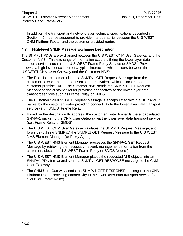In addition, the transport and network layer technical specifications described in Section 4.5 must be supported to provide interoperability between the U S WEST CNM Platform Router and the customer provided router.

#### **4.7 High-level SNMP Message Exchange Description**

The SNMPv1 PDUs are exchanged between the U S WEST CNM User Gateway and the Customer NMS. This exchange of information occurs utilizing the lower layer data transport services such as the U S WEST Frame Relay Service or SMDS. Provided below is a high level description of a typical interaction which occurs between the U S WEST CNM User Gateway and the Customer NMS:

- The End-User customer initiates a SNMPv1 GET Request Message from the customer network management station, or equivalent, which is located on the customer premise LAN. The customer NMS sends the SNMPv1 GET Request Message to the customer router providing connectivity to the lower layer data transport services such as Frame Relay or SMDS.
- The Customer SNMPv1 GET Request Message is encapsulated within a UDP and IP packet by the customer router providing connectivity to the lower layer data transport service (e.g., SMDS, Frame Relay).
- Based on the destination IP address, the customer router forwards the encapsulated SNMPv1 packet to the CNM User Gateway via the lower layer data transport service (i.e., Frame Relay or SMDS).
- The U S WEST CNM User Gateway validates the SNMPv1 Request Message, and forwards (utilizing SNMPv1) the SNMPv1 GET Request Message to the U S WEST NMS Element Manager (or Proxy Agent).
- The U S WEST NMS Element Manager processes the SNMPv1 GET Request Message by retrieving the necessary network management information from the customer subscribed U S WEST Frame Relay or SMDS Node(s).
- The U S WEST NMS Element Manager places the requested MIB objects into an SNMPv1 PDU format and sends a SNMPv1 GET-RESPONSE message to the CNM User Gateway.
- The CNM User Gateway sends the SNMPv1 GET-RESPONSE message to the CNM Platform Router providing connectivity to the lower layer data transport service (i.e., SMDS or Frame Relay).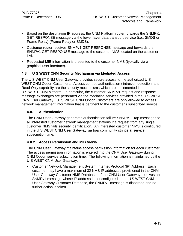- Based on the destination IP address, the CNM Platform router forwards the SNMPv1 GET-RESPONSE message via the lower layer data transport service (i.e., SMDS or Frame Relay) (Frame Relay or SMDS).
- Customer router receives SNMPv1 GET-RESPONSE message and forwards the SNMPv1 GET-RESPONSE message to the customer NMS located on the customer LAN.
- Requested MIB information is presented to the customer NMS (typically via a graphical user interface).

#### **4.8 U S WEST CNM Security Mechanism via Mediated Access**

The U S WEST CNM User Gateway provides secure access to the authorized U S WEST CNM Option Customers. Access control, authentication / intrusion detection, and Read-Only capability are the security mechanisms which are implemented in the U S WEST CNM platform. In particular, the customer SNMPv1 request and response message exchanges are performed via the mediation services provided in the U S WEST CNM User Gateway. U S WEST CNM Option Customers are only allowed to access network management information that is pertinent to the customer's subscribed service.

#### **4.8.1 Authentication**

The CNM User Gateway generates authentication failure SNMPv1 Trap messages to all interested customer network management stations if a request from any single customer NMS fails security identification. An interested customer NMS is configured in the U S WEST CNM User Gateway via trap community strings at service subscription time.

#### **4.8.2 Access Permission and MIB Views**

The CNM User Gateway maintains access permission information for each customer. The access permission information is entered into the CNM User Gateway during CNM Option service subscription time. The following information is maintained by the U S WEST CNM User Gateway:

• Customer Network Management System Internet Protocol (IP) Address. Each customer may have a maximum of 32 NMS IP addresses provisioned in the CNM User Gateway Customer NMS Database. If the CNM User Gateway receives an SNMPv1 message whose IP address is not configured in the U S WEST CNM User Gateway Customer Database, the SNMPv1 message is discarded and no further action is taken.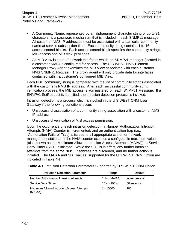Chapter 4 **PUB 77376** US WEST Customer Network Management Issue B, December 1996 Protocols and Framework

- A Community Name, represented by an alphanumeric character string of up to 31 characters, is a password mechanism that is included in each SNMPv1 message. All customer NMS IP addresses must be associated with a particular community name at service subscription time. Each community string contains 1 to 16 access control blocks. Each access control block specifies the community string's MIB access and MIB view privileges.
- An MIB view is a set of network interfaces which an SNMPv1 manager (located in a customer NMS) is configured for access. The U S WEST NMS Element Manager Proxy Agent examines the MIB View associated with each customer NMS SNMPv1 Request. The proxy agent will only provide data for interfaces contained within a customer's configured MIB View.

Each PDU community string is compared with the list of community strings associated with the customer's NMS IP address. After each successful community string verification process, the MIB access is administered on each SNMPv1 Message. If a SNMPv1 SetRequest is identified, the intrusion detection process is invoked.

Intrusion detection is a process which is invoked in the U S WEST CNM User Gateway if the following conditions occur:

- Unsuccessful association of a community string association with a customer NMS IP address.
- Unsuccessful verification of MIB access permission.

Upon the occurrence of each intrusion detection, a Number Authorization Intrusion Attempts (NAIA) Counter is incremented, and an authentication trap (i.e., "Authoriation Failure" Trap) is issued to all appropriate customer network management stations. If the NAIA counter exceeds a configurable maximum value (also known as the Maximum Allowed Intrusion Access Attempts [MAIAA]), a Service Deny Timer (SDT) is initiated. While the SDT is in effect, any further intrusion attempts from the same NMS IP address are discarded, and no further action is initiated. The MAIAA and SDT values supported for the U S WEST CNM Option are indicated in Table 4-1.

| <b>Intrusion Detection Parameter</b>                 | Range        | <b>Default</b>  |
|------------------------------------------------------|--------------|-----------------|
| <b>Number Authorization Intrusion Attempts</b>       | 1 thru MAIAA | increments of 1 |
| Service Deny Timer                                   | $10s - 900s$ | 60 seconds      |
| Maximum Allowed Intrusion Access Attempts<br>(MAIAA) | $1 - 10000$  | 100             |

**Table 4-1** Intrusion Detection Parameters Supported by U S WEST CNM Option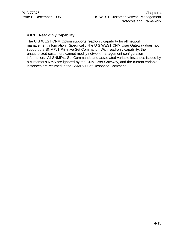# **4.8.3 Read-Only Capability**

The U S WEST CNM Option supports read-only capability for all network management information. Specifically, the U S WEST CNM User Gateway does not support the SNMPv1 Primitive Set Command. With read-only capability, the unauthorized customers cannot modify network management configuration information. All SNMPv1 Set Commands and associated variable instances issued by a customer's NMS are ignored by the CNM User Gateway, and the current variable instances are returned in the SNMPv1 Set Response Command.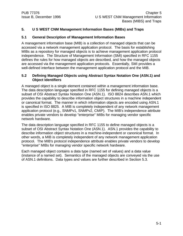# **5. U S WEST CNM Management Information Bases (MIBs) and Traps**

### **5.1 General Description of Management Information Bases**

A management information base (MIB) is a collection of managed objects that can be accessed via a network management application protocol. The basis for establishing MIBs as a repository for managed objects is to achieve management application protocol independence. The Structure of Management Information (SMI) specified in RFC 1155 defines the rules for how managed objects are described, and how the managed objects are accessed via the management application protocols. Essentially, SMI provides a well-defined interface between the management application protocol and the MIB.

#### **5.2 Defining Managed Objects using Abstract Syntax Notation One (ASN.1) and Object Identifiers**

A managed object is a single element contained within a management information base. The data description language specified in RFC 1155 for defining managed objects is a subset of OSI Abstract Syntax Notation One (ASN.1). ISO 8824 describes ASN.1 which provides the capability to describe information object structures in a machine independent or canonical format. The manner in which information objects are encoded using ASN.1 is specified in ISO 8825. A MIB is completely independent of any network management application protocol (e.g., SNMPv1, SNMPv2, CMIP). The MIB's independence attribute enables private vendors to develop "enterprise" MIBs for managing vendor specific network hardware.

The data description language specified in RFC 1155 to define managed objects is a subset of OSI Abstract Syntax Notation One (ASN.1). ASN.1 provides the capability to describe information object structures in a machine-independent or canonical format. In other words, a MIB is completely independent of any network management application protocol. The MIB's protocol independence attribute enables private vendors to develop "enterprise" MIBs for managing vendor specific network hardware.

Each managed object contains a data type (named set of values) and a data value (instance of a named set). Semantics of the managed objects are conveyed via the use of ASN.1 definitions. Data types and values are further described in Section 5.3.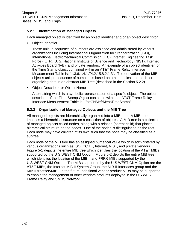# **5.2.1 Identification of Managed Objects**

Each managed object is identified by an object identifier and/or an object descriptor:

• Object Identifier

These unique sequence of numbers are assigned and administered by various organizations including International Organization for Standardization (ISO), International Electromechanical Commission (IEC), Internet Engineering Task Force (IETF), U. S. National Institute of Science and Technology (NIST), Internet Activities Board (IAB), and private vendors. An example of an object identifier for the Time Stamp object contained within an AT&T Frame Relay Interface Measurement Table is: "1.3.6.1.4.1.74.2.15.8.2.1.3". The derivation of the MIB object's unique sequence of numbers is based on a hierarchical approach for organizing data in an abstract MIB Tree (described in the Section 5.2.2).

• Object Descriptor or Object Name

A text string which is a symbolic representation of a specific object. The object descriptor of the Time Stamp Object contained within an AT&T Frame Relay Interface Measurement Table is : "attCNMefrMeasTimeStamp".

# **5.2.2 Organization of Managed Objects and the MIB Tree**

All managed objects are hierarchically organized into a MIB tree. A MIB tree imposes a hierarchical structure on a collection of objects. A MIB tree is a collection of managed objects called nodes, along with a relation (parent-child) that places hierarchical structure on the nodes. One of the nodes is distinguished as the root. Each node may have children of its own such that the node may be classified as a subtree.

Each node of the MIB tree has an assigned numerical value which is administered by various organizations such as ISO, CCITT, Internet, NIST, and private vendors. Figure 5-1 depicts the entire MIB tree which identifies the location of the AT&T MIBs supported by the U S WEST CNM Option. Figure 5-2 depicts the entire MIB tree which identifies the location of the MIB II and FRF.6 MIBs supported by the U S WEST CNM Option. The MIBs supported by the U S WEST CNM Option are the AT&T MIBs, the Internet MIB II System Group, the MIB II Interfaces group and the MIB II frnetservMIB. In the future, additional vendor product MIBs may be supported to enable the management of other vendors products deployed in the U S WEST Frame Relay and SMDS Network.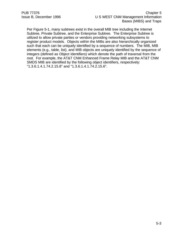Per Figure 5-1, many subtrees exist in the overall MIB tree including the Internet Subtree, Private Subtree, and the Enterprise Subtree. The Enterprise Subtree is utilized to allow private parties or vendors providing networking subsystems to register product models. Objects within the MIBs are also hierarchically organized such that each can be uniquely identified by a sequence of numbers. The MIB, MIB elements (e.g., table, list), and MIB objects are uniquely identified by the sequence of integers (defined as Object Identifiers) which denote the path of traversal from the root. For example, the AT&T CNM Enhanced Frame Relay MIB and the AT&T CNM SMDS MIB are identified by the following object identifiers, respectively: "1.3.6.1.4.1.74.2.15.8" and "1.3.6.1.4.1.74.2.15.6".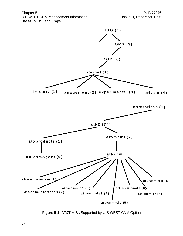Chapter 5 PUB 77376 U S WEST CNM Management Information Information Issue B, December 1996 Bases (MIBS) and Traps



**Figure 5-1** AT&T MIBs Supported by U S WEST CNM Option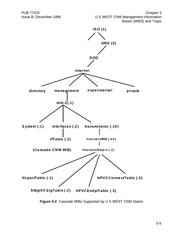

**Figure 5-2** Cascade MIBs Supported by U S WEST CNM Option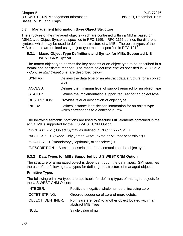#### **5.3 Management Information Base Object Structure**

The structure of the managed objects which are contained within a MIB is based on ASN.1 type Object Syntax as specified in RFC 1155. RFC 1155 defines the different syntax's which may be used to define the structure of a MIB. The object types of the MIB elements are defined using object-type macros specified in RFC 1212.

#### **5.3.1 Macro Object Type Definitions and Syntax for MIBs Supported U S WEST CNM Option**

The macro object-type permits the key aspects of an object type to be described in a formal and consistent manner. The macro object-type entities specified in RFC 1212 - *Concise MIB Definitions* are described below:

| SYNTAX:             | Defines the data type or an abstract data structure for an object<br>type                               |
|---------------------|---------------------------------------------------------------------------------------------------------|
| ACCESS:             | Defines the minimum level of support required for an object type                                        |
| <b>STATUS:</b>      | Defines the implementation support required for an object type                                          |
| <b>DESCRIPTION:</b> | Provides textual description of object type                                                             |
| <b>INDEX:</b>       | Defines instance identification information for an object type<br>which corresponds to a conceptual row |

The following semantic notations are used to describe MIB elements contained in the actual MIBs supported by the U S WEST CNM Option:

"SYNTAX" - < ( Object Syntax as defined in RFC 1155 - SMI) >

"ACCESS" - < ("Read-Only", "read-write", "write-only", "not-accessible") >

"STATUS" - < ("mandatory", "optional", or "obsolete") >

"DESCRIPTION" - A textual description of the semantics of the object type.

#### **5.3.2 Data Types for MIBs Supported by U S WEST CNM Option**

The structure of a managed object is dependent upon the data types. SMI specifies the use of the following data types for defining the structure of managed objects:

#### **Primitive Types**

The following primitive types are applicable for defining types of managed objects for the U S WEST CNM Option:

| <b>INTEGER:</b>           | Positive of negative whole numbers, including zero.                          |
|---------------------------|------------------------------------------------------------------------------|
| <b>OCTET STRING:</b>      | Ordered sequence of zero of more octets.                                     |
| <b>OBJECT IDENTIFIER:</b> | Points (references) to another object located within an<br>abstract MIB Tree |
| NULL:                     | Single value of null                                                         |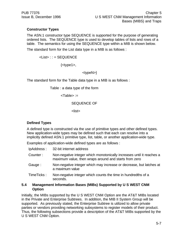# **Constructor Types**

The ASN.1 constructor type SEQUENCE is supported for the purpose of generating ordered lists. The SEQUENCE type is used to develop tables of lists and rows of a table. The semantics for using the SEQUENCE type within a MIB is shown below.

The standard form for the List data type in a MIB is as follows :

```
<List> : : = SEQUENCE
```
 $\{\text{style}{1}, \text{style}$ 

<typeN>}

The standard form for the Table data type in a MIB is as follows :

Table : a data type of the form

<Table> :=

SEQUENCE OF

<list>

# **Defined Types**

A defined type is constructed via the use of primitive types and other defined types. New application-wide types may be defined such that each can resolve into a implicitly defined ASN.1 primitive type, list, table, or another application-wide type.

Examples of application-wide defined types are as follows :

| IpAddress: | 32-bit internet address                                                                                                        |
|------------|--------------------------------------------------------------------------------------------------------------------------------|
| Counter:   | Non-negative integer which monotonically increases until it reaches a<br>maximum value, then wraps around and starts from zero |
| Gauge:     | Non-negative integer which may increase or decrease, but latches at<br>a maximum value                                         |
| TimeTicks: | Non-negative integer which counts the time in hundredths of a<br>seconds.                                                      |
|            |                                                                                                                                |

### **5.4 Management Information Bases (MIBs) Supported by U S WEST CNM Option**

Initially, the MIBs supported by the U S WEST CNM Option are the AT&T MIBs located in the Private and Enterprise Subtrees. In addition, the MIB II System Group will be supported. As previously stated, the Enterprise Subtree is utilized to allow private parties or vendors providing networking subsystems to register models of their product. Thus, the following subsections provide a description of the AT&T MIBs supported by the U S WEST CNM Option.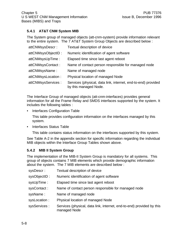# **5.4.1 AT&T CNM System MIB**

The System group of managed objects (att-cnm-system) provide information relevant to the entire system. The 7 AT&T System Group Objects are described below :

| attCNMsysDescr:    | Textual description of device                                                          |
|--------------------|----------------------------------------------------------------------------------------|
| attCNMsysObjectID: | Numeric identification of agent software                                               |
| attCNMsysUpTime:   | Elapsed time since last agent reboot                                                   |
| attCNMsysContact:  | Name of contact person responsible for managed node                                    |
| attCNMsysName:     | Name of managed node                                                                   |
| attCNMsysLocation: | Physical location of managed Node                                                      |
| attCNMsysServices: | Services (physical, data link, internet, end-to-end) provided<br>by this managed Node. |

The Interface Group of managed objects (att-cnm-interfaces) provides general information for all the Frame Relay and SMDS interfaces supported by the system. It includes the following tables :

• Interfaces Configuration Table

This table provides configuration information on the interfaces managed by this system.

• Interfaces Status Table

This table contains status information on the interfaces supported by this system.

See Table A-2 in the appendix section for specific information regarding the individual MIB objects within the Interface Group Tables shown above.

# **5.4.2 MIB II System Group**

The implementation of the MIB-II System Group is mandatory for all systems. This group of objects contains 7 MIB elements which provide demographic information about the system. The 7 MIB elements are described below :

| Textual description of device                                                         |
|---------------------------------------------------------------------------------------|
| Numeric identification of agent software                                              |
| Elapsed time since last agent reboot                                                  |
| Name of contact person responsible for managed node                                   |
| Name of managed node                                                                  |
| Physical location of managed Node                                                     |
| Services (physical, data link, internet, end-to-end) provided by this<br>managed Node |
|                                                                                       |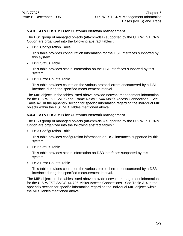### **5.4.3 AT&T DS1 MIB for Customer Network Management**

The DS1 group of managed objects (att-cnm-ds1) supported by the U S WEST CNM Option are organized into the following abstract tables :

• DS1 Configuration Table.

This table provides configuration information for the DS1 interfaces supported by this system

• DS1 Status Table.

This table provides status information on the DS1 interfaces supported by this system.

• DS1 Error Counts Table.

This table provides counts on the various protocol errors encountered by a DS1 interface during the specified measurement interval.

The MIB objects in the tables listed above provide network management information for the U S WEST SMDS and Frame Relay 1.544 Mbit/s Access Connections. See Table A-3 in the appendix section for specific information regarding the individual MIB objects within the DS1 MIB Tables mentioned above

### **5.4.4 AT&T DS3 MIB for Customer Network Management**

The DS3 group of managed objects (att-cnm-ds3) supported by the U S WEST CNM Option are organized into the following abstract tables :

DS3 Configuration Table.

This table provides configuration information on DS3 interfaces supported by this system.

• DS3 Status Table.

This table provides status information on DS3 interfaces supported by this system.

• DS3 Error Counts Table.

This table provides counts on the various protocol errors encountered by a DS3 interface during the specified measurement interval.

The MIB objects in the tables listed above provide network management information for the U S WEST SMDS 44.736 Mbit/s Access Connections. See Table A-4 in the appendix section for specific information regarding the individual MIB objects within the MIB Tables mentioned above.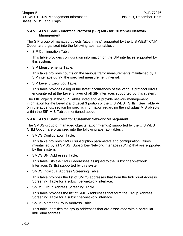### **5.4.5 AT&T SMDS Interface Protocol (SIP) MIB for Customer Network Management**

The SIP group of managed objects (att-cnm-sip) supported by the U S WEST CNM Option are organized into the following abstract tables :

• SIP Configuration Table.

This table provides configuration information on the SIP interfaces supported by this system.

• SIP Measurements Table.

This table provides counts on the various traffic measurements maintained by a SIP interface during the specified measurement interval.

• SIP Level 3 Error Log Table.

This table provides a log of the latest occurrences of the various protocol errors encountered at the Level 3 layer of all SIP interfaces supported by this system.

The MIB objects in the SIP Tables listed above provide network management information for the Level 2 and Level 3 portion of the U S WEST SNIs. See Table A-5 in the appendix section for specific information regarding the individual MIB objects within the SIP MIB Tables mentioned above.

# **5.4.6 AT&T SMDS MIB for Customer Network Management**

The SMDS group of managed objects (att-cnm-smds) supported by the U S WEST CNM Option are organized into the following abstract tables :

• SMDS Configuration Table.

This table provides SMDS subscription parameters and configuration values maintained by all SMDS Subscriber-Network Interfaces (SNIs) that are supported by this system.

• SMDS SNI Addresses Table.

This table lists the SMDS addresses assigned to the Subscriber-Network Interfaces (SNIs) supported by this system.

• SMDS Individual Address Screening Table.

This table provides the list of SMDS addresses that form the Individual Address Screening Table for a subscriber-network interface.

• SMDS Group Address Screening Table.

This table provides the list of SMDS addresses that form the Group Address Screening Table for a subscriber-network interface.

• SMDS Member-Group Address Table.

This table identifies the group addresses that are associated with a particular individual address.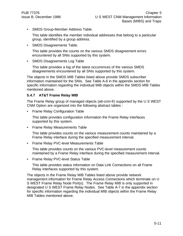• SMDS Group-Member Address Table.

This table identifies the member individual addresses that belong to a particular group, identified by a group address.

• SMDS Disagreements Table.

This table provides the counts on the various SMDS disagreement errors encountered by all SNIs supported by this system.

• SMDS Disagreements Log Table

This table provides a log of the latest occurrences of the various SMDS disagreements encountered by all SNIs supported by this system.

The objects in the SMDS MIB Tables listed above provide SMDS subscriber information maintained for the SNIs. See Table A-6 in the appendix section for specific information regarding the individual MIB objects within the SMDS MIB Tables mentioned above.

# **5.4.7 AT&T Frame Relay MIB**

The Frame Relay group of managed objects (att-cnm-fr) supported by the U S WEST CNM Option are organized into the following abstract tables :

• Frame Relay Configuration Table

This table provides configuration information the Frame Relay interfaces supported by this system.

• Frame Relay Measurements Table

This table provides counts on the various measurement counts maintained by a Frame Relay interface during the specified measurement interval.

• Frame Relay PVC-level Measurements Table

This table provides counts on the various PVC-level measurement counts maintained by a Frame Relay interface during the specified measurement interval.

• Frame Relay PVC-level Status Table

This table provides status information on Data Link Connections on all Frame Relay interfaces supported by this system.

The objects in the Frame Relay MIB Tables listed above provide network management information for Frame Relay Access Connections which terminate on U S WEST Frame Relay Node Port(s). The Frame Relay MIB is only supported in designated U S WEST Frame Relay Nodes. See Table A-7 in the appendix section for specific information regarding the individual MIB objects within the Frame Relay MIB Tables mentioned above.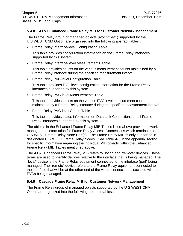#### **5.4.8 AT&T Enhanced Frame Relay MIB for Customer Network Management**

The Frame Relay group of managed objects (att-cnm-efr ) supported by the U S WEST CNM Option are organized into the following abstract tables :

• Frame Relay Interface-level Configuration Table

This table provides configuration information on the Frame Relay interfaces supported by this system.

• Frame Relay Interface-level Measurements Table

This table provides counts on the various measurement counts maintained by a Frame Relay interface during the specified measurement interval.

• Frame Relay PVC-level Configuration Table

This table provides PVC-level configuration information for the Frame Relay interfaces supported by this system.

• Frame Relay PVC-level Measurements Table

This table provides counts on the various PVC-level measurement counts maintained by a Frame Relay interface during the specified measurement interval.

• Frame Relay PVC-level Status Table

This table provides status information on Data Link Connections on all Frame Relay interfaces supported by this system.

The objects in the Enhanced Frame Relay MIB Tables listed above provide network management information for Frame Relay Access Connections which terminate on a U S WEST Frame Relay Node Port(s). The Frame Relay MIB is only supported in designated U S WEST Frame Relay Nodes. See Table A-8 in the appendix section for specific information regarding the individual MIB objects within the Enhanced Frame Relay MIB Tables mentioned above.

The AT&T Enhanced Frame Relay MIB refers to "local" and "remote" devices. These terms are used to identify devices relative to the interface that is being managed. The "local" device is the Frame Relay equipment connected to the interface (port) being managed. The "remote" device refers to the Frame Relay equipment connected to the interface that will be at the other end of the virtual connection associated with the PVCs being managed.

#### **5.4.9 Cascade Frame Relay MIB for Customer Network Management**

The Frame Relay group of managed objects supported by the U S WEST CNM Option are organized into the following abstract tables :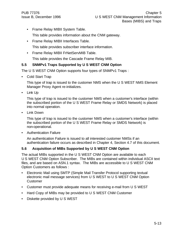• Frame Relay MIBII System Table.

This table provides information about the CNM gateway.

• Frame Relay MIBII Interfaces Table.

This table provides subscriber interface information.

• Frame Relay MIBII FrNetServMIB Table.

This table provides the Cascade Frame Relay MIB.

# **5.5 SNMPv1 Traps Supported by U S WEST CNM Option**

The U S WEST CNM Option supports four types of SNMPv1 Traps :

• Cold Start Trap

This type of trap is issued to the customer NMS when the U S WEST NMS Element Manager Proxy Agent re-initializes.

• Link Up

This type of trap is issued to the customer NMS when a customer's interface (within the subscribed portion of the U S WEST Frame Relay or SMDS Network) is placed into normal operation.

• Link Down

This type of trap is issued to the customer NMS when a customer's interface (within the subscribed portion of the U S WEST Frame Relay or SMDS Network) is non-operational.

• Authentication Failure

An authentication Failure is issued to all interested customer NMSs if an authentication failure occurs as described in Chapter 4, Section 4.7 of this document.

# **5.6 Acquisition of MIBs Supported by U S WEST CNM Option**

The actual MIBs supported in the U S WEST CNM Option are available to each U S WEST CNM Option Subscriber. The MIBs are contained within individual ASCII text files, and are based on ASN.1 syntax. The MIBs are accessible to U S WEST CNM Option Customers as follows :

- Electronic Mail using SMTP (Simple Mail Transfer Protocol supporting textual electronic mail message services) from U S WEST to U S WEST CNM Option **Customer**
- Customer must provide adequate means for receiving e-mail from U S WEST
- Hard Copy of MIBs may be provided to U S WEST CNM Customer
- Diskette provided by U S WEST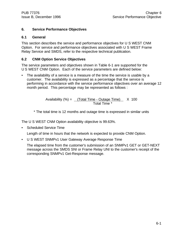# **6. Service Performance Objectives**

### **6.1 General**

This section describes the service and performance objectives for U S WEST CNM Option. For service and performance objectives associated with U S WEST Frame Relay Service and SMDS, refer to the respective technical publication.

# **6.2 CNM Option Service Objectives**

The service parameters and objectives shown in Table 6-1 are supported for the U S WEST CNM Option. Each of the service parameters are defined below:

• The availability of a service is a measure of the time the service is usable by a customer. The availability is expressed as a percentage that the service is performing in accordance with the service performance objectives over an average 12 month period. This percentage may be represented as follows :

> Availability  $(\%) =$  (Total Time - Outage Time)  $\times$  100 **Total Time \***

\* The total time is 12 months and outage time is expressed in similar units

The U S WEST CNM Option availability objective is 99.63%.

• Scheduled Service Time

Length of time in hours that the network is expected to provide CNM Option.

• U S WEST SNMPv1 User Gateway Average Response Time

The elapsed time from the customer's submission of an SNMPv1 GET or GET-NEXT message across the SMDS SNI or Frame Relay UNI to the customer's receipt of the corresponding SNMPv1 Get-Response message.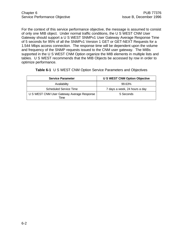For the context of this service performance objective, the message is assumed to consist of only one MIB object. Under normal traffic conditions, the U S WEST CNM User Gateway should support a U S WEST SNMPv1 User Gateway Average Response Time of 5 seconds for 95% of all the SNMPv1 Version 1 GET or GET-NEXT Requests for a 1.544 Mbps access connection. The response time will be dependent upon the volume and frequency of the SNMP requests issued to the CNM user gateway. The MIBs supported in the U S WEST CNM Option organize the MIB elements in multiple lists and tables. U S WEST recommends that the MIB Objects be accessed by row in order to optimize performance.

| <b>Service Parameter</b>                           | <b>U S WEST CNM Option Objective</b> |
|----------------------------------------------------|--------------------------------------|
| Availability                                       | 99.63%                               |
| <b>Scheduled Service Time</b>                      | 7 days a week, 24 hours a day        |
| U S WEST CNM User Gateway Average Response<br>Time | 5 Seconds                            |

**Table 6-1** U S WEST CNM Option Service Parameters and Objectives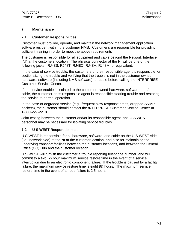#### **7. Maintenance**

#### **7.1 Customer Responsibilities**

Customer must provide, operate, and maintain the network management application software resident within the customer NMS. Customer's are responsible for providing sufficient training in order to meet the above requirements

The customer is responsible for all equipment and cable beyond the Network Interface (NI) at the customers location. The physical connector at the NI will be one of the following jacks : RJ48S, RJ48T, RJ48C, RJ48H, RJ48M, or equivalent.

In the case of service trouble, the customers or their responsible agent is responsible for sectionalizing the trouble and verifying that the trouble is not in the customer owned hardware, software (including NMS software), or cable before calling the !NTERPRISE Customer Service Center.

If the service trouble is isolated to the customer owned hardware, software, and/or cable, the customer or its responsible agent is responsible clearing trouble and restoring the service to normal operation.

In the case of degraded service (e.g., frequent slow response times, dropped SNMP packets), the customer should contact the !NTERPRISE Customer Service Center at 1-800-227-2218.

Joint testing between the customer and/or its responsible agent, and U S WEST personnel may be necessary for isolating service troubles.

#### **7.2 U S WEST Responsibilities**

U S WEST is responsible for all hardware, software, and cable on the U S WEST side (i.e., network side) of the NI at the customer location, and also for maintaining the underlying transport facilities between the customer locations, and between the Central Office (CO) Hub and the customer location.

U S WEST will furnish the customer a trouble reporting telephone number, and will commit to a two (2) hour maximum service restore time in the event of a service interruption due to an electronic component failure. If the trouble is caused by a facility failure, the maximum service restore time is eight (8) hours. The maximum service restore time in the event of a node failure is 2.5 hours.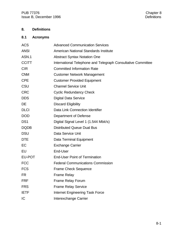# **8. Definitions**

# **8.1 Acronyms**

| <b>ACS</b>      | <b>Advanced Communication Services</b>                       |
|-----------------|--------------------------------------------------------------|
| <b>ANSI</b>     | American National Standards Institute                        |
| ASN.1           | <b>Abstract Syntax Notation One</b>                          |
| <b>CCITT</b>    | International Telephone and Telegraph Consultative Committee |
| <b>CIR</b>      | <b>Committed Information Rate</b>                            |
| <b>CNM</b>      | <b>Customer Network Management</b>                           |
| <b>CPE</b>      | <b>Customer Provided Equipment</b>                           |
| CSU             | <b>Channel Service Unit</b>                                  |
| <b>CRC</b>      | <b>Cyclic Redundancy Check</b>                               |
| <b>DDS</b>      | <b>Digital Data Service</b>                                  |
| DE.             | <b>Discard Eligibility</b>                                   |
| <b>DLCI</b>     | Data Link Connection Identifier                              |
| <b>DOD</b>      | Department of Defense                                        |
| DS <sub>1</sub> | Digital Signal Level 1 (1.544 Mbit/s)                        |
| <b>DQDB</b>     | <b>Distributed Queue Dual Bus</b>                            |
| <b>DSU</b>      | Data Service Unit                                            |
| <b>DTE</b>      | Data Terminal Equipment                                      |
| EC              | <b>Exchange Carrier</b>                                      |
| EU              | End-User                                                     |
| EU-POT          | <b>End-User Point of Termination</b>                         |
| <b>FCC</b>      | <b>Federal Communications Commission</b>                     |
| <b>FCS</b>      | <b>Frame Check Sequence</b>                                  |
| <b>FR</b>       | <b>Frame Relay</b>                                           |
| <b>FRF</b>      | Frame Relay Forum                                            |
| <b>FRS</b>      | <b>Frame Relay Service</b>                                   |
| <b>IETF</b>     | <b>Internet Engineering Task Force</b>                       |
| IC              | Interexchange Carrier                                        |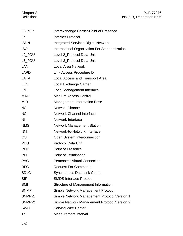| <b>IC-POP</b>       | Interexchange Carrier-Point of Presence        |
|---------------------|------------------------------------------------|
| ΙP                  | <b>Internet Protocol</b>                       |
| <b>ISDN</b>         | <b>Integrated Services Digital Network</b>     |
| <b>ISO</b>          | International Organization For Standardization |
| L <sub>2_PDU</sub>  | Level 2_Protocol Data Unit                     |
| L <sub>3</sub> _PDU | Level 3_Protocol Data Unit                     |
| LAN                 | <b>Local Area Network</b>                      |
| <b>LAPD</b>         | Link Access Procedure D                        |
| <b>LATA</b>         | Local Access and Transport Area                |
| <b>LEC</b>          | Local Exchange Carrier                         |
| LMI                 | Local Management Interface                     |
| <b>MAC</b>          | <b>Medium Access Control</b>                   |
| <b>MIB</b>          | <b>Management Information Base</b>             |
| <b>NC</b>           | <b>Network Channel</b>                         |
| <b>NCI</b>          | Network Channel Interface                      |
| <b>NI</b>           | <b>Network Interface</b>                       |
| <b>NMS</b>          | <b>Network Management Station</b>              |
| <b>NNI</b>          | Network-to-Network Interface                   |
| <b>OSI</b>          | Open System Interconnection                    |
| <b>PDU</b>          | <b>Protocol Data Unit</b>                      |
| <b>POP</b>          | <b>Point of Presence</b>                       |
| <b>POT</b>          | <b>Point of Termination</b>                    |
| <b>PVC</b>          | <b>Permanent Virtual Connection</b>            |
| <b>RFC</b>          | <b>Request For Comments</b>                    |
| <b>SDLC</b>         | <b>Synchronous Data Link Control</b>           |
| <b>SIP</b>          | <b>SMDS Interface Protocol</b>                 |
| <b>SMI</b>          | Structure of Management Information            |
| <b>SNMP</b>         | Simple Network Management Protocol             |
| SNMP <sub>v1</sub>  | Simple Network Management Protocol Version 1   |
| SNMP <sub>v2</sub>  | Simple Network Management Protocol Version 2   |
| <b>SWC</b>          | <b>Serving Wire Center</b>                     |
| Тc                  | <b>Measurement Interval</b>                    |
|                     |                                                |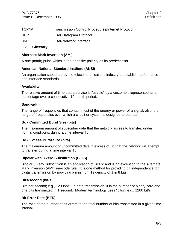| TCP/IP | <b>Transmission Control Procedures/Internet Protocol</b> |
|--------|----------------------------------------------------------|
| UDP    | User Datagram Protocol                                   |
| UNI    | User-Network Interface                                   |

## **8.2 Glossary**

#### **Alternate Mark Inversion (AMI)**

A one (mark) pulse which is the opposite polarity as its predecessor.

#### **American National Standard Institute (ANSI)**

An organization supported by the telecommunications industry to establish performance and interface standards.

#### **Availability**

The relative amount of time that a service is "usable" by a customer, represented as a percentage over a consecutive 12 month period.

#### **Bandwidth**

The range of frequencies that contain most of the energy or power of a signal; also, the range of frequencies over which a circuit or system is designed to operate.

#### **Bc - Committed Burst Size (bits)**

The maximum amount of subscriber data that the network agrees to transfer, under normal conditions, during a time interval Tc.

#### **Be - Excess Burst Size (bits)**

The maximum amount of uncommitted data in excess of Bc that the network will attempt to transfer during a time interval Tc.

#### **Bipolar with 8 Zero Substitution (B8ZS)**

Bipolar 8 Zero Substitution is an application of BPRZ and is an exception to the Alternate Mark Inversion (AMI) line-code rule. It is one method for providing bit independence for digital transmission by providing a minimum 1s density of 1 in 8 bits.

#### **Bits/second (bit/s)**

Bits per second; e.g., 1200bps. In data transmission, it is the number of binary zero and one bits transmitted in 1 second. Modern terminology uses "bit/s"; e.g., 1200 bit/s.

#### **Bit Error Rate (BER)**

The ratio of the number of bit errors to the total number of bits transmitted in a given time interval.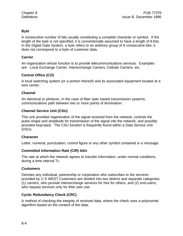# **Byte**

A consecutive number of bits usually constituting a complete character or symbol. If the length of the byte is not specified, it is conventionally assumed to have a length of 8 bits. In the Digital Data System, a byte refers to an arbitrary group of 8 consecutive bits; it does not correspond to a byte of customer data.

### **Carrier**

An organization whose function is to provide telecommunications services. Examples are: Local Exchange Carrier, Interexchange Carriers, Cellular Carriers, etc.

# **Central Office (CO)**

A local switching system (or a portion thereof) and its associated equipment located at a wire center.

# **Channel**

An electrical or photonic, in the case of fiber optic based transmission systems, communications path between two or more points of termination.

# **Channel Service Unit (CSU)**

This unit provided regeneration of the signal received from the network, controls the pulse shape and amplitude for transmission of the signal into the network, and possibly provided loop-back. The CSU function is frequently found within a Data Service Unit (DSU).

# **Character**

Letter, numeral, punctuation, control figure or any other symbol contained in a message.

#### **Committed Information Rate (CIR) bit/s**

The rate at which the network agrees to transfer information, under normal conditions, during a time interval Tc.

# **Customers**

Denotes any individual, partnership or corporation who subscribes to the services provided by U S WEST Customers are divided into two distinct and separate categories: (1) carriers, who provide interexchange services for hire for others, and (2) end-users, who request services only for their own use.

# **Cyclic Redundancy Check (CRC)**

A method of checking the integrity of received data, where the check uses a polynomial algorithm based on the content of the data.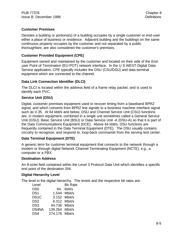# **Customer Premises**

Denotes a building or portions(s) of a building occupies by a single customer or end-user either a place of business or residence. Adjacent building and the buildings on the same continuous property occupies by the customer and not separated by a public thoroughfare, are also considered the customer's premises.

# **Customer Provided Equipment (CPE)**

Equipment owned and maintained by the customer and located on their side of the Enduser Point of Termination (EU-POT) network interface. In the U S WEST Digital Data Service application, CPE typically includes the DSU (CSU/DSU) and data terminal equipment which are connected to the channel.

### **Data Link Connection Identifier (DLCI)**

The DLCI is located within the address field of a frame relay packet, and is used to identify each PVC.

# **Service Unit (DSU)**

Digital, customer premises equipment used to recover timing from a baseband BPRZ signal, and which converts from BPRZ line signals to a business machine interface signal such as V.35. At 64 kbit/s and below, DSU and Channel Service Unit (CSU) functions are, in modern equipment, combined in a single unit sometimes called a General Service Unit (GSU), Basic Service Unit (BSU) or Data Service Unit -A (DSU-A) so that it is part of the Data Communications Equipment (DCE). Above 64 kbit/s, DSU functions are frequently contained in the Data Terminal Equipment (DTE). The DSU usually contains circuitry to recognize, and respond to, loop-back commands from the serving test center.

#### **Data Terminal Equipment (DTE)**

A generic term for customer terminal equipment that connects to the network through a modem or through digital Network Channel Terminating Equipment (NCTE), e.g., a computer or a PBX.

#### **Destination Address**

An 8-octet field contained within the Level 3 Protocol Data Unit which identifies a specific end point of the destination SNI.

#### **Digital Hierarchy Level**

The level in the digital hierarchy. The levels and the respective bit rates are:

| Level             |                | <b>Bit Rate</b> |
|-------------------|----------------|-----------------|
| D <sub>S0</sub>   | 64.            | kbit/s          |
| DS <sub>1</sub>   |                | 1.544 Mbit/s    |
| DS <sub>1</sub> C |                | 3.152 Mbit/s    |
| DS <sub>2</sub>   |                | 6.312 Mbit/s    |
| DS <sub>3</sub>   | 44.736 Mbit/s  |                 |
| DS4NA             | 139.264 Mbit/s |                 |
| DS4               | 274.176 Mbit/s |                 |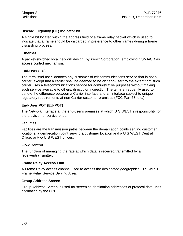### **Discard Eligibility (DE) Indicator bit**

A single bit located within the address field of a frame relay packet which is used to indicate that a frame should be discarded in preference to other frames during a frame discarding process.

#### **Ethernet**

A packet-switched local network design (by Xerox Corporation) employing CSMA/CD as access control mechanism.

### **End-User (EU)**

The term "end-user" denotes any customer of telecommunications service that is not a carrier, except that a carrier shall be deemed to be an "end-user" to the extent that such carrier uses a telecommunications service for administrative purposes without making such service available to others, directly or indirectly. The term is frequently used to denote the difference between a Carrier interface and an interface subject to unique regulatory requirements at non-Carrier customer premises (FCC Part 68, etc.)

# **End-User POT (EU-POT)**

The Network Interface at the end-user's premises at which U S WEST's responsibility for the provision of service ends.

#### **Facilities**

Facilities are the transmission paths between the demarcation points serving customer locations, a demarcation point serving a customer location and a U S WEST Central Office, or two U S WEST offices.

#### **Flow Control**

The function of managing the rate at which data is received/transmitted by a receiver/transmitter.

#### **Frame Relay Access Link**

A Frame Relay access channel used to access the designated geographical U S WEST Frame Relay Service Serving Area.

#### **Group Address Screen**

Group Address Screen is used for screening destination addresses of protocol data units originating by the CPE.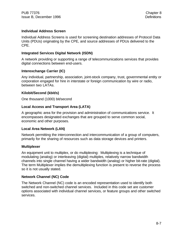#### **Individual Address Screen**

Individual Address Screens is used for screening destination addresses of Protocol Data Units (PDUs) originating by the CPE, and source addresses of PDUs delivered to the CPE.

#### **Integrated Services Digital Network (ISDN)**

A network providing or supporting a range of telecommunications services that provides digital connections between end-users.

### **Interexchange Carrier (IC)**

Any individual, partnership, association, joint-stock company, trust, governmental entity or corporation engaged for hire in interstate or foreign communication by wire or radio, between two LATAs.

### **Kilobit/Second (kbit/s)**

One thousand (1000) bit/second

### **Local Access and Transport Area (LATA)**

A geographic area for the provision and administration of communications service. It encompasses designated exchanges that are grouped to serve common social, economic and other purposes.

#### **Local Area Network (LAN)**

Network permitting the interconnection and intercommunication of a group of computers, primarily for the sharing of resources such as data storage devices and printers.

#### **Multiplexer**

An equipment unit to multiplex, or do multiplexing: Multiplexing is a technique of modulating (analog) or interleaving (digital) multiples, relatively narrow bandwidth channels into single channel having a wider bandwidth (analog) or higher bit-rate (digital). The term Multiplexer implies the demultiplexing function is present to reverse the process so it is not usually stated.

# **Network Channel (NC) Code**

The Network Channel (NC) code is an encoded representation used to identify both switched and non-switched channel services. Included in this code set are customer options associated with individual channel services, or feature groups and other switched services.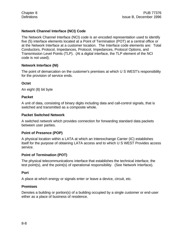## **Network Channel Interface (NCI) Code**

The Network Channel Interface (NCI) code is an encoded representation used to identify five (5) interface elements located at a Point of Termination (POT) at a central office or at the Network Interface at a customer location. The Interface code elements are: Total Conductors, Protocol, Impedances, Protocol, Impedances, Protocol Options, and Transmission Level Points (TLP). (At a digital interface, the TLP element of the NCI code is not used).

#### **Network Interface (NI)**

The point of demarcation on the customer's premises at which U S WEST's responsibility for the provision of service ends.

### **Octet**

An eight (8) bit byte

### **Packet**

A unit of data, consisting of binary digits including data and call-control signals, that is switched and transmitted as a composite whole.

### **Packet Switched Network**

A switched network which provides connection for forwarding standard data packets between user parties.

#### **Point of Presence (POP)**

A physical location within a LATA at which an Interexchange Carrier (IC) establishes itself for the purpose of obtaining LATA access and to which U S WEST Provides access service.

# **Point of Termination (POT)**

The physical telecommunications interface that establishes the technical interface, the test point(s), and the point(s) of operational responsibility. (See Network Interface).

#### **Port**

A place at which energy or signals enter or leave a device, circuit, etc.

#### **Premises**

Denotes a building or portion(s) of a building occupied by a single customer or end-user either as a place of business of residence.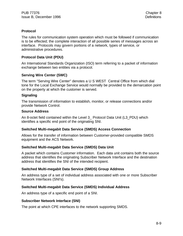# **Protocol**

The rules for communication system operation which must be followed if communication is to be effected; the complete interaction of all possible series of messages across an interface. Protocols may govern portions of a network, types of service, or administrative procedures.

# **Protocol Data Unit (PDU)**

An International Standards Organization (ISO) term referring to a packet of information exchange between two entities via a protocol.

#### **Serving Wire Center (SWC)**

The term "Serving Wire Center" denotes a U S WEST Central Office from which dial tone for the Local Exchange Service would normally be provided to the demarcation point on the property at which the customer is served.

#### **Signaling**

The transmission of information to establish, monitor, or release connections and/or provide Network Control.

#### **Source Address**

An 8-octet field contained within the Level 3\_ Protocol Data Unit (L3\_PDU) which identifies a specific end point of the originating SNI.

#### **Switched Multi-megabit Data Service (SMDS) Access Connection**

Allows for the transfer of information between Customer-provided compatible SMDS equipment and the ACS Network.

#### **Switched Multi-megabit Data Service (SMDS) Data Unit**

A packet which contains Customer information. Each data unit contains both the source address that identifies the originating Subscriber Network Interface and the destination address that identifies the SNI of the intended recipient.

#### **Switched Multi-megabit Data Service (SMDS) Group Address**

An address type of a set of individual address associated with one or more Subscriber Network Interfaces (SNI's).

#### **Switched Multi-megabit Data Service (SMDS) Individual Address**

An address type of a specific end point of a SNI.

#### **Subscriber Network Interface (SNI)**

The point at which CPE interfaces to the network supporting SMDS.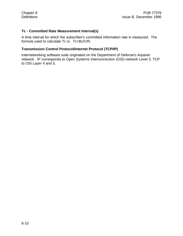### **Tc - Committed Rate Measurement Interval(s)**

A time interval for which the subscriber's committed information rate is measured. The formula used to calculate Tc is: Tc=Bc/CIR.

#### **Transmission Control Protocol/Internet Protocol (TCP/IP)**

Internetworking software suite originated on the Department of Defense's Arpanet network. IP corresponds to Open Systems Interconnection (OSI) network Level 3, TCP to OSI Layer 4 and 5.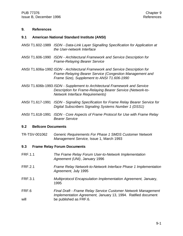#### **9. References**

#### **9.1 American National Standard Institute (ANSI)**

- ANSI T1.602-1989 *ISDN Data-Link Layer Signalling Specification for Application at the User-network Interface*
- ANSI T1.606-1990 *ISDN Architectural Framework and Service Description for Frame-Relaying Bearer Service*
- ANSI T1.606a-1992 *ISDN Architectural Framework and Service Description for Frame-Relaying Bearer Service (Congestion Management and Frame Size), Supplement to ANSI T1.606-1990*
- ANSI T1.606b-1993 *ISDN Supplement to Architectural Framework and Service Description for Frame-Relaying Bearer Service (Network-to-Network Interface Requirements)*
- ANSI T1.617-1991 *ISDN Signaling Specification for Frame Relay Bearer Service for Digital Subscribers Signaling Systems Number 1 (DSS1)*
- ANSI T1.618-1991 *ISDN Core Aspects of Frame Protocol for Use with Frame Relay Bearer Service*

#### **9.2 Bellcore Documents**

TR-TSV-001062 *Generic Requirements For Phase 1 SMDS Customer Network Management Service,* Issue 1, March 1993

#### **9.3 Frame Relay Forum Documents**

- FRF.1.1 *The Frame Relay Forum User-to-Network Implementation Agreement (UNI)*, January 1996
- FRF.2.1 *Frame Relay Network-to-Network Interface Phase 1 Implementation Agreement,* July 1995
- FRF.3.1 *Multiprotocol Encapsulation Implementation Agreement,* January, 1995
- FRF.6 *Final Draft Frame Relay Service Customer Network Management Implementation Agreement,* January 13, 1994. Ratified document will be published as FRF.6.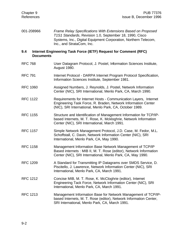001-208966 *Frame Relay Specifications With Extensions Based on Proposed T1S1 Standards*, Revision 1.0, September 18, 1990, Cisco Systems, Inc., Digital Equipment Corporation, Northern Telecom, Inc., and StrataCom, Inc.

#### **9.4 Internet Engineering Task Force (IETF) Request for Comment (RFC) Documents**

- RFC 768 User Datagram Protocol, J. Postel, Information Sciences Institute, August 1980.
- RFC 791 Internet Protocol DARPA Internet Program Protocol Specification, Information Sciences Institute, September 1981.
- RFC 1060 Assigned Numbers, J. Reynolds, J. Postel, Network Information Center (NIC), SRI International, Menlo Park, CA, March 1990.
- RFC 1122 Requirements for Internet Hosts Communication Layers, Internet Engineering Task Force, R. Braden, Network Information Center (NIC), SRI International, Menlo Park, CA, October 1989.
- RFC 1155 Structure and Identification of Management Information for TCP/IPbased Internets, M. T. Rose, K. Mckloghrie, Network Information Center (NIC), SRI International, March 1991.
- RFC 1157 Simple Network Management Protocol, J.D. Case, M. Fedor, M.L. Schoffstall, C. Davin, Network Information Center (NIC), SRI International, Menlo Park, CA, May 1990.
- RFC 1158 Management Information Base Network Management of TCP/IP Based internets : MIB II, M. T. Rose (editor), Network Information Center (NIC), SRI International, Menlo Park, CA, May 1990.
- RFC 1209 A Standard for Transmitting IP Datagrams over SMDS Service, D. Piscitello, J. Lawrence, Network Information Center (NIC), SRI International, Menlo Park, CA, March 1991.
- RFC 1212 Concise MIB, M. T. Rose, K. McCloghrie (editor), Internet Engineering Tack Force, Network Information Center (NIC), SRI International, Menlo Park, CA, March 1991.
- RFC 1213 Management Information Base for Network Management of TCP/IPbased Internets, M. T. Rose (editor), Network Information Center, SRI International, Menlo Park, CA, March 1991.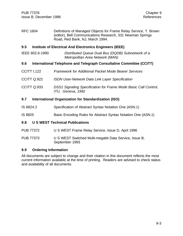RFC 1604 Definitions of Managed Objects for Frame Relay Service, T. Brown (editor), Bell Communications Research, 331 Newman Springs Road, Red Bank, NJ, March 1994.

#### **9.5 Institute of Electrical And Electronics Engineers (IEEE)**

IEEE 802.6-1990 *Distributed Queue Dual Bus (DQDB) Subnetwork of a Metropolitan Area Network (MAN)*

#### **9.6 International Telephone and Telegraph Consultative Committee (CCITT)**

- CCITT I.122 *Framework for Additional Packet Mode Bearer Services*
- CCITT Q.922 *ISDN User-Network Data Link Layer Specification*
- CCITT Q.933 *DSS1 Signaling Specification for Frame Mode Basic Call Control, ITU, Geneva, 1992*

#### **9.7 International Organization for Standardization (ISO)**

- IS 8824.2 Specification of Abstract Syntax Notation One (ASN.1)
- IS 8825 Basic Encoding Rules for Abstract Syntax Notation One (ASN.1)

#### **9.8 U S WEST Technical Publications**

- PUB 77372 U S WEST Frame Relay Service, Issue D, April 1996
- PUB 77373 U S WEST Switched Multi-megabit Data Service, Issue B, September 1993

#### **9.9 Ordering Information**

All documents are subject to change and their citation in this document reflects the most current information available at the time of printing. Readers are advised to check status and availability of all documents.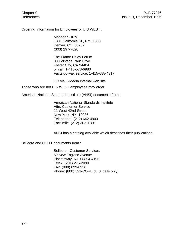Ordering Information for Employees of U S WEST :

Manager - IRM 1801 California St., Rm. 1330 Denver, CO 80202 (303) 297-7620

The Frame Relay Forum 303 Vintage Park Drive Foster City, CA 94404 or call: 1-415-578-6980 Facts-by-Fax service: 1-415-688-4317

OR via E-Media internal web site

Those who are not U S WEST employees may order

American National Standards Institute (ANSI) documents from :

American National Standards Institute Attn: Customer Service 11 West 42nd Street New York, NY 10036 Telephone: (212) 642-4900 Facsimile: (212) 302-1286

ANSI has a catalog available which describes their publications.

Bellcore and CCITT documents from :

Bellcore - Customer Services 60 New England Avenue Piscataway, NJ 08854-4196 Telex: (201) 275-2090 Fax: (908) 699-0936 Phone: (800) 521-CORE (U.S. calls only)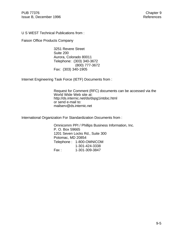U S WEST Technical Publications from :

Faison Office Products Company

3251 Revere Street Suite 200 Aurora, Colorado 80011 Telephone: (303) 340-3672 (800) 777-3672 Fax: (303) 340-1905

Internet Engineering Task Force (IETF) Documents from :

Request for Comment (RFC) documents can be accessed via the World Wide Web site at: http://ds.internic.net/ds/dspg1intdoc.html or send e-mail to: mailserv@ds.internic.net

International Organization For Standardization Documents from :

Omnicomm PPI / Phillips Business Information, Inc. P. O. Box 59665 1201 Seven Locks Rd., Suite 300 Potomac, MD 20854 Telephone : 1-800-OMNICOM 1-301-424-3338 Fax : 1-301-309-3847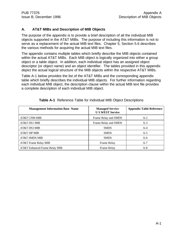### **A. AT&T MIBs and Description of MIB Objects**

The purpose of the appendix is to provide a brief description of all the individual MIB objects supported in the AT&T MIBs. The purpose of including this information is not to serve as a replacement of the actual MIB text files. Chapter 5, Section 5.6 describes the various methods for acquiring the actual MIB text files.

The appendix contains multiple tables which briefly describe the MIB objects contained within the actual AT&T MIBs. Each MIB object is logically organized into either a group object or a table object. In addition, each individual object has an assigned object descriptor (or object name) and an object identifier. The tables provided in this appendix depict the actual logical structure of the MIB objects within the respective AT&T MIBs.

Table A-1 below provides the list of the AT&T MIBs and the corresponding appendix table which briefly describes the individual MIB objects. For further information regarding each individual MIB object, the description clause within the actual MIB text file provides a complete description of each individual MIB object.

| <b>Management Information Base Name</b> | <b>Managed Service</b><br><b>US WEST Service</b> | <b>Appendix Table Reference</b> |
|-----------------------------------------|--------------------------------------------------|---------------------------------|
| AT&T CNM MIB                            | Frame Relay and SMDS                             | $A-2$                           |
| AT&T DS1 MIB                            | Frame Relay and SMDS                             | $A-3$                           |
| AT&T DS3 MIB                            | <b>SMDS</b>                                      | $A-4$                           |
| AT&T SIP MIB                            | <b>SMDS</b>                                      | $A-5$                           |
| <b>AT&amp;T SMDS MIB</b>                | <b>SMDS</b>                                      | $A-6$                           |
| AT&T Frame Relay MIB                    | Frame Relay                                      | $A-7$                           |
| AT&T Enhanced Frame Relay MIB           | Frame Relay                                      | $A-8$                           |

|  |  |  |  |  |  | Table A-1 Reference Table for Individual MIB Object Descriptions |
|--|--|--|--|--|--|------------------------------------------------------------------|
|--|--|--|--|--|--|------------------------------------------------------------------|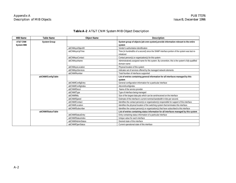| <b>MIB Name</b>   | Table Name          | <b>Object Name</b>  | <b>Description</b>                                                                                  |
|-------------------|---------------------|---------------------|-----------------------------------------------------------------------------------------------------|
| AT&T CNM          | <b>System Group</b> |                     | System group of objects (att-cnm-system) provide information relevant to the entire                 |
| <b>System MIB</b> |                     |                     | system                                                                                              |
|                   |                     | attCNMsysObjectID   | Vendor's authoritative identification                                                               |
|                   |                     | attCNMsysUpTime     | Time (in hundredths of a second) since the SNMP interface portion of the system was last re-        |
|                   |                     |                     | initialized                                                                                         |
|                   |                     | attCNMsysContact    | Contact person(s) or organization(s) for this system                                                |
|                   |                     | attCNMsysName       | Administratively assigned name for this system. By convention, this is the system's fully-qualified |
|                   |                     |                     | domain name                                                                                         |
|                   |                     | attCNMsysLocation   | Physical location of this system                                                                    |
|                   |                     | attCNMsysServices   | Indicates set of services offered by the managed network elements                                   |
|                   |                     | attCNMifNumber      | Total Number of interfaces supported                                                                |
|                   | attCNMifConfigTable |                     | List of entries containing general information for all interfaces managed by this                   |
|                   |                     |                     | system                                                                                              |
|                   |                     | attCNMifConfigEntry | General configuration information for a particular interface                                        |
|                   |                     | attCNMifConfigIndex | Attcnmifconfigindex                                                                                 |
|                   |                     | attCNMifDescr       | Name of the service provider                                                                        |
|                   |                     | attCNMifType        | Type of interface being managed                                                                     |
|                   |                     | attCNMifMtu         | Size of the largest data pdu which can be sent/received on the interface                            |
|                   |                     | attCNMifSpeed       | Estimate of the interface's current nominal bandwidth in bits per second.                           |
|                   |                     | attCNMifContact     | Identifies the contact person(s) or organization(s) responsible for support of this interface.      |
|                   |                     | attCNMifLocation    | Identifies the physical location of the switching system that terminates this interface.            |
|                   |                     | attCNMifSubscriber  | Identifies the contact person(s) or organization(s) that have subscribed to this interface          |
|                   | attCNMifStatusTable |                     | List of entries containing status information for all interfaces managed by this system             |
|                   |                     | attCNMifStatusEntry | Entry containing status information of a particular interface                                       |
|                   |                     | attCNMifStatusIndex | Unique value for each interface                                                                     |
|                   |                     | attCNMifAdminStatus | Desired state of this interface                                                                     |
|                   |                     | attCNMifOperStatus  | Current operational state of this interface                                                         |

# **Table A-2** AT&T CNM System MIB Object Description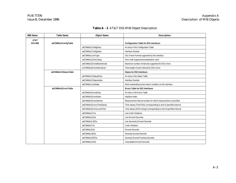| <b>MIB Name</b> | <b>Table Name</b>     | <b>Object Name</b>          | Description                                                          |
|-----------------|-----------------------|-----------------------------|----------------------------------------------------------------------|
| AT&T<br>DS1 MIB | attCNMds1ConfigTable  |                             | <b>Configuration Table for DS1 Interfaces</b>                        |
|                 |                       | attCNMds1ConfigEntry        | An entry in the Configuration Table                                  |
|                 |                       | attCNMds1ConfigIndex        | Interface Number                                                     |
|                 |                       | attCNMds1LineType           | DS1 Frame Format supported by this interface                         |
|                 |                       | attCNMds1ZeroCoding         | Zero code suppression/substitution used                              |
|                 |                       | attCNMds1ErrorsMaxintervals | Maximum number of intervals supported for DS1 errors                 |
|                 |                       | arrCNMds1ErrorsIntervalLen  | Time length of each interval for DS1 errors                          |
|                 | attCNMds1CStatusTable |                             | <b>Status for DS1 Interfaces</b>                                     |
|                 |                       | attCNMds1CStatusEntry       | An entry in the Status Table                                         |
|                 |                       | attCNMds1CStatusIndex       | Interface Number                                                     |
|                 |                       | attCNMds1LineState          | Most outstanding severe alarm condition on this interface            |
|                 | attCNMds1ErrorsTable  |                             | <b>Errors Table for DS1 Interfaces</b>                               |
|                 |                       | attCNMds1ErrorsEntry        | An entry in the Errors Table                                         |
|                 |                       | attCNMds1ErrorsIndex        | Interface Index                                                      |
|                 |                       | attCNMds1ErrorsInterval     | Measurement interval number for which measurement is provided        |
|                 |                       | attCNMds1ErrorsTimeStamp    | Time stamp (TimeTicks) corresponding to end of specified interval    |
|                 |                       | attCNMds1ErrorsLocalTime    | Time stamp (ASCII string) corresponding to end of specified interval |
|                 |                       | attCNMds1LCVs               | Line Code Violations                                                 |
|                 |                       | attCNMds1LESs               | Line Errored Seconds                                                 |
|                 |                       | attCNMds1LSESs              | Line Serverely Errored Seconds                                       |
|                 |                       | attCNMds1CVs                | Code Violations                                                      |
|                 |                       | attCNMds1ESs                | <b>Errored Seconds</b>                                               |
|                 |                       | attCNMds1SESs               | Severely Errored Seconds                                             |
|                 |                       | attCNMds1SEFSs              | Severely Errored Framing Seconds                                     |
|                 |                       | attCNMds1UASs               | <b>Unavailable Errored Seconds</b>                                   |

# **Table A - 3** AT&T DS1 MIB Object Description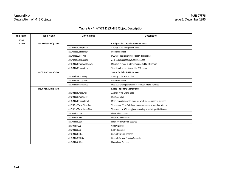# **Table A - 4** AT&T DS3 MIB Object Description

| <b>MIB Name</b> | <b>Table Name</b>    | <b>Object Name</b>          | <b>Description</b>                                                   |
|-----------------|----------------------|-----------------------------|----------------------------------------------------------------------|
| AT&T<br>DS3MIB  | attCNMds3ConfigTable |                             | <b>Configuration Table for DS3 Interfaces</b>                        |
|                 |                      | attCNMds3ConfigEntry        | An entry in the configuration table                                  |
|                 |                      | attCNMds3ConfigIndex        | Interface Number                                                     |
|                 |                      | attCNMds3LineType           | DS3 C-bit application supported by this interface                    |
|                 |                      | attCNMds3ZeroCoding         | Zero code suppression/substitution used                              |
|                 |                      | attCNMds3ErrorsMaxIntervals | Maximum number of intervals supported for DS3 errors                 |
|                 |                      | attCNMds3ErrorsIntervalLen  | Time-length of each interval for DS3 errors                          |
|                 | attCNMds3StatusTable |                             | <b>Status Table for DS3 Interfaces</b>                               |
|                 |                      | attCNMds3StatusEntry        | An entry in the Status Table                                         |
|                 |                      | attCNMds3StatusIndex        | Interface Number                                                     |
|                 |                      | attCNMds3AlarmStatus        | Most outstanding severe alarm condition on this interface            |
|                 | attCNMds3ErrorsTable |                             | <b>Errors Table for DS3 Interfaces</b>                               |
|                 |                      | attCNMds3ErrorsEntry        | An entry in the Errors Table                                         |
|                 |                      | attCNMds3ErrorsIndex        | Interface Index                                                      |
|                 |                      | attCNMds3ErrorsInterval     | Measurement interval number for which measurement is provided        |
|                 |                      | attCNMds3ErrorsTimeStamp    | Time stamp (TimeTicks) corresponding to end of specified interval    |
|                 |                      | attCNMds3ErrorsLocalTime    | Time stamp (ASCII string) corresponding to end of specified interval |
|                 |                      | attCNMds3LCVs               | Line Code Violations                                                 |
|                 |                      | attCNMds3LESs               | <b>Line Errored Seconds</b>                                          |
|                 |                      | attCNMds3LSESs              | Line Severely Errored Seconds                                        |
|                 |                      | attCNMds3CVs                | Code Violations                                                      |
|                 |                      | attCNMds3ESs                | <b>Errored Seconds</b>                                               |
|                 |                      | attCNMds3SESs               | Severely Errored Seconds                                             |
|                 |                      | attCNMds3SEFSs              | Severely Errored Framing Seconds                                     |
|                 |                      | attCNMds3UASs               | Unavailable Seconds                                                  |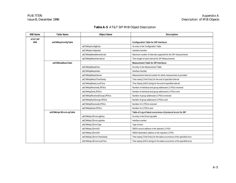# **Table A-5** AT&T SIP MIB Object Description

| <b>MIB Name</b> | <b>Table Name</b>        | <b>Object Name</b>           | <b>Description</b>                                                         |
|-----------------|--------------------------|------------------------------|----------------------------------------------------------------------------|
| AT&T SIP<br>MIB | attCNMsipConfigTable     |                              | <b>Configuration Table for SIP Interfaces</b>                              |
|                 |                          | attCNMsipConfigEntry         | An entry in the Configuration Table                                        |
|                 |                          | attCNMsipConfigIndex         | Interface Number                                                           |
|                 |                          | attCNMsipMeasMaxIntervals    | Maximum number of intervals supported for the SIP measurements             |
|                 |                          | attCNMsipMeasIntervalLen     | Time-length of each interval for SIP Measurements                          |
|                 | attCNMsipMeasTable       |                              | <b>Measurement Table for SIP Interfaces</b>                                |
|                 |                          | attCNMsipMeasEntry           | An entry in the Measurement Table                                          |
|                 |                          | attCNMsipMeasIndex           | Interface Number                                                           |
|                 |                          | attCNMsipMeasInterval        | Measurement interval number for which measurement is provided              |
|                 |                          | attCNMsipMeasTimeStamp       | Time stamp (TimeTicks) for the end of specified interval                   |
|                 |                          | attCNMsipMeasLocalTime       | Time Stamp (ASCII string) for the end of specified interval                |
|                 |                          | attCNMsipReceivedL3PDUs      | Number of individual and group addressed L3 PDUs received                  |
|                 |                          | attCNMsipSentL3PDUs          | Number of individual and group addressed L3 PDUs sent                      |
|                 |                          | attCNMsipReceivedGroupL3PDUs | Number of group addressed L3 PDUs received                                 |
|                 |                          | attCNMsipSentGroupL3PDUs     | Number of group addressed L3 PDUs sent                                     |
|                 |                          | attCNMsipReceivedL2PDUs      | Number of L2 PDUs received                                                 |
|                 |                          | attCNMsipSentL2PDUs          | Number of L2 PDUs sent                                                     |
|                 | attCNMsipL3ErrorLogTable |                              | Table of Log of latest occurrence of protocol errors for SIP               |
|                 |                          | attCNMsipL3ErrorLogEntry     | An entry in the Errors log table                                           |
|                 |                          | attCNMsipL3ErrorLogIndex     | Interface number                                                           |
|                 |                          | attCNMsipL3ErrorType         | Type of error                                                              |
|                 |                          | attCNMsipL3ErrorSA           | SMDS source address in the rejected L3 PDU                                 |
|                 |                          | attCNMsipL3ErrorDA           | SMDS destination address in the rejected L3 PDU                            |
|                 |                          | attCNMsipL3ErrorTimeStamp    | Time stamp (TimeTicks) for the latest occurrence of the specified error    |
|                 |                          | attCNMsipL3ErrorLocalTime    | Time stamp (ASCII string) for the latest occurrence of the specified error |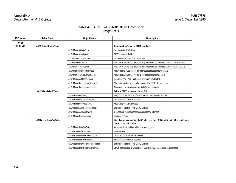### **Table A-6** AT&T SMDS MIB Object Description (Page 1 of 3)

| <b>MIB Name</b>         | <b>Table Name</b>       | <b>Object Name</b>                | Description                                                                                                   |
|-------------------------|-------------------------|-----------------------------------|---------------------------------------------------------------------------------------------------------------|
| AT&T<br><b>SMDS MIB</b> | attCNMsmdsConfigTable   |                                   | <b>Configuration Table for SMDS Interfaces</b>                                                                |
|                         |                         | attCNMsmdsConfigEntry             | An entry in the SMDS table                                                                                    |
|                         |                         | attCNMsmdsConfigIndex             | SMDS Interface Table                                                                                          |
|                         |                         | attCNMsmdsAccessClass             | Currently subscribed to Access Class                                                                          |
|                         |                         | attCNMsmdsMCDUsIn                 | Max. no. of SMDS data units that may be transferred concurrently from CPE to network                          |
|                         |                         | attCNMsmdsMCDUsOut                | Max. no. of SMDS data units that may be transferred concurrently from network to CPE                          |
|                         |                         | attCNMsmdsIndivScreenMode         | Allowed/disallowed flag for the individual address screening table                                            |
|                         |                         | attCNMsmdsGroupScreenMode         | Allowed/disallowed flag for the group address screening table                                                 |
|                         |                         | attCNMsmdsAddrIndexDescr          | Describes how SMDS addresses are reformatted to OIDs                                                          |
|                         |                         | attCNMsmdsDisagreeMaxIntervals    | Maximum number of intervals supported for SMDS disagreements                                                  |
|                         |                         | attCNMsmdsDisagreeIntervalLen     | Time-length of each interval for SMDS disagreements                                                           |
|                         | attCNMsmdsAddrTable     |                                   | Table of SMDS addresses for an SNI                                                                            |
|                         |                         | attCNMsmdsAddrEntry               | Entry containing SNI identifier and an SMDS address for that SNI                                              |
|                         |                         | attCNMsmdsAddrCountryIndex        | Country Code of SMDS address                                                                                  |
|                         |                         | attCNMsmdsAddrAreaIndex           | Area Code of SMDS address                                                                                     |
|                         |                         | attCNMsmdsAddrSubscriberIndex     | Subscriber number of the SMDS address                                                                         |
|                         |                         | attCNMsmdsAddressOnSNI            | One of the SMDS addresses assigned to this interface                                                          |
|                         |                         | attCNMsmdsInterfaceIndex          | Interface number                                                                                              |
|                         | attCNMsmdsIndivScrTable |                                   | List of entries containing SMDS addresses and SNI identifiers that form individual<br>address screening table |
|                         |                         | attCNMsmdsIndivScrEntry           | An entry in the individual address screening table                                                            |
|                         |                         | attCNMsmdsIndivScrIndex           | Interface index                                                                                               |
|                         |                         | attCNMsmdsIndivScrCountryIndex    | Country code of the SMDS address                                                                              |
|                         |                         | attCNMsmdsIndivScrAreaIndex       | Area code of the SMDS address                                                                                 |
|                         |                         | attCNMsmdsIndivScrSubscriberIndex | Subscriber number of the SMDS address                                                                         |
|                         |                         | attCNMsmdsIndivScreeningAddress   | SMDS address that is a member of an SNI's individual address screening table                                  |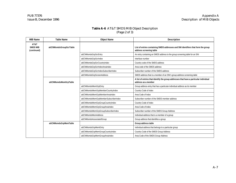### **Table A-6** AT&T SMDS MIB Object Description (Page 2 of 3)

| <b>MIB Name</b>                        | <b>Table Name</b>       | <b>Object Name</b>                                                         | <b>Description</b>                                                                                           |
|----------------------------------------|-------------------------|----------------------------------------------------------------------------|--------------------------------------------------------------------------------------------------------------|
| AT&T<br><b>SMDS MIB</b><br>(continued) | attCNMsmdsGroupScrTable |                                                                            | List of entries containing SMDS addresses and SNI identifiers that form the group<br>address screening table |
|                                        |                         | attCNMsmdsGrpScrEntry                                                      | An entry containing an SMDS address to the group screening table for an SNI                                  |
|                                        |                         | attCNMsmdsGrpScrIndex                                                      | Interface number                                                                                             |
|                                        |                         | attCNMsmdsGrpScrCountryIndex                                               | Country code of the SMDS address                                                                             |
|                                        |                         | attCNMsmdsGrpScrIndexAreaIndex                                             | Area code of the SMDS address                                                                                |
|                                        |                         | attCNMsmdsGrpScrIndexSubscriberIndex                                       | Subscriber number of the SMDS address                                                                        |
|                                        |                         | attCNMsmdsGrpScreenAddress                                                 | SMDS address that is a member of an SNI's group address screening table                                      |
|                                        | attCNMsmdsMemGrpTable   |                                                                            | A list of entries that identify the group addresses that have a particular individual<br>address as a member |
|                                        | attCNMsmdsMemGrpEntry   | Group address entry that has a particular individual address as its member |                                                                                                              |
|                                        |                         | attCNMsmdsMemGrpMemberCountryIndex                                         | Country Code of index                                                                                        |
|                                        |                         | attCNMsmdsMemGrpMemberAreaIndex                                            | Area Code of Index                                                                                           |
|                                        |                         | attCNMsmdsMemGrpMemberSubscriberIndex                                      | Subscriber number of the SMDS member address                                                                 |
|                                        |                         | attCNMsmdsMemGrpGroupCountryIndex                                          | Country Code of index                                                                                        |
|                                        |                         | attCNMsmdsMemGrpGroupAreaIndex                                             | Area Code of index                                                                                           |
|                                        |                         | attCNMsmdsMemGrpGroupSubscriberIndex                                       | Subscriber number of the SMDS Group Address                                                                  |
|                                        |                         | attCNMsmdsMemAddress                                                       | Individual address that is a member of a group                                                               |
|                                        |                         | attCNMsmdsAssociatedGroup                                                  | Group address that identifies a group                                                                        |
|                                        | attCNMsmdsGrpMemTable   |                                                                            | Group address table                                                                                          |
|                                        |                         | attCNMsmdsGrpMemEntry                                                      | Individual address that belongs to a particular group                                                        |
|                                        |                         | attCNMsmdsGrpMemGroupCountryIndex                                          | Country Code of the SMDS Group Address                                                                       |
|                                        |                         | attCNMsmdsGrpMemGroupAreaIndex                                             | Area Code of the SMDS Group Address                                                                          |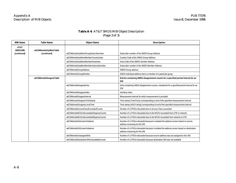# **Table A-6** AT&T SMDS MIB Object Description (Page 3 of 3)

| <b>MIB Name</b>         | <b>Table Name</b>       | <b>Object Name</b>                        | <b>Description</b>                                                                                                        |
|-------------------------|-------------------------|-------------------------------------------|---------------------------------------------------------------------------------------------------------------------------|
| AT&T<br><b>SMDS MIB</b> | attCNMsmdsGrpMemTable   |                                           |                                                                                                                           |
| (continued)             | (continued)             | attCNMsmdsGrpMemGroupSubscriberIndex      | Subscriber number of the SMDS Group Address                                                                               |
|                         |                         | attCNMsmdsGrpMemMemberCountryIndex        | Country Code of the SMDS Group Address                                                                                    |
|                         |                         | attCNMsmdsGrpMemMemberAreaIndex           | Area Code of the SMDS member Address                                                                                      |
|                         |                         | attCNMsmdsGrpMemMemberSubscriberIndex     | Subscriber number of the SMDS Member Address                                                                              |
|                         |                         | attCNMsmdsGroupAddress                    | SMDS Group address                                                                                                        |
|                         |                         | attCNMsmdsGroupMember                     | SMDS Individual address that is a member of a particular group                                                            |
|                         | attCNMsmdsDisagreeTable |                                           | Entries containing SMDS disagreement counts for a specified period interval for an<br>SNI                                 |
|                         |                         | attCNMsmdsDisagreeEntry                   | Entry containing SMDS disagreement counts, maintained for a specified period interval for an<br>SNI                       |
|                         |                         | attCNMsmdsDisagreeIndex                   | Interface index                                                                                                           |
|                         |                         | attCNMsmdsDisagreeInterval                | Measurement interval for which measurement is provided                                                                    |
|                         |                         | attCNMsmdsDisagreeTimeStamp               | Time stamp (TimeTicks) corresponding to end of the specified measurement interval                                         |
|                         |                         | attCNMsmdsDisagreeLocalTime               | Time stamp (ASCII string) corresponding to end of the specified measurement interval                                      |
|                         |                         | attCNMsmdsAccessClassExceededCounts       | Number of L3 PDUs discarded due to Access Class esceeded                                                                  |
|                         |                         | attCNMsmdsMCDUsExceededAtIngressCounts    | Number of L3 PDUs discarded due to the MCDU exceeded from CPE to network                                                  |
|                         |                         | attCNMsmdsMCDUsExceededAtEgressCounts     | Number of L3 PDUs discarded due to the MCDU exceeded from network to CPE                                                  |
|                         |                         | attCNMsmdsSAScreenViolations              | Number of L3 PDUs discarded because it violated the address screen based on source<br>address screening for this SNI      |
|                         |                         | attCNMsmdsDAScreenViolations              | Number of L3 PDUs discarded because it violated the address screen based on destination<br>address screening for this SNI |
|                         |                         | attCNMsmdsUnassignedSAs                   | Number of L3 PDUs discarded bacause source address was not assigned to this SNI                                           |
|                         |                         | attCNMsmdsDestinationSNIUnavailableCounts | Number of L3 PDUs discarded because destination SNI was not available                                                     |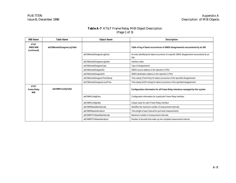### **Table A-7** AT&T Frame Relay MIB Object Description (Page 1 of 3)

| <b>MIB Name</b>                          | Table Name                 | <b>Object Name</b>          | <b>Description</b>                                                                                  |
|------------------------------------------|----------------------------|-----------------------------|-----------------------------------------------------------------------------------------------------|
| AT&T<br><b>SMDS MIB</b><br>(continued)   | attCNMsmdsDisagreeLogTable |                             | Table of log of latest occurrences of SMDS disagreements encountered by an SNI                      |
|                                          |                            | attCNMsmdsDisagreeLogEntry  | An entry identifying the latest occurrence of a specific SMDS disagreement encountered by an<br>SNI |
|                                          |                            | attCNMsmdsDisagreeLogIndex  | Interface index                                                                                     |
|                                          |                            | attCNMsmdsDisagreeType      | Type of disagreement                                                                                |
|                                          |                            | attCNMsmdsDisagreeSA        | SMDS source address in the rejected L3 PDU                                                          |
|                                          |                            | attCNMsmdsDisagreeDA        | SMDS destination address in the rejected L3 PDU                                                     |
|                                          |                            | attCNMsmdsDisagreeTimeStamp | Time stamp (TimeTicks) for latest occurrence of the specified disagreement                          |
|                                          |                            | attCNMsmdsDisagreeLocalTime | Time stamp (ASCII string) for latest occurrence of the specified disagreement                       |
| AT&T<br><b>Frame Relay</b><br><b>MIB</b> | attCNMfrConfigTable        |                             | Configuration information for all Frame Relay interfaces managed by this system                     |
|                                          |                            | attCNMfrConfigEntry         | Configuration information for a particular Frame Relay interface                                    |
|                                          |                            | attCNMfrConfigIndex         | Unique value for each Frame Relay interface                                                         |
|                                          |                            | attCNMfrMeasMaxIntervals    | Identifies the maximum number of measurement intervals                                              |
|                                          |                            | attCNMfrMeasIntervalLen     | Time-length of each interval for port-level measurements                                            |
|                                          |                            | attCNMfrPVCMeasMaxIntervals | Maximum number of measurement intervals                                                             |
|                                          |                            | attCNMfrPVCMeasIntervalLen  | Number of seconds that make up one complete measurement interval                                    |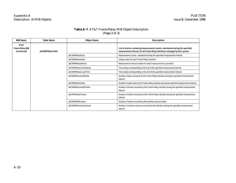# **Table A-7** AT&T Frame Relay MIB Object Description (Page 2 of 3)

| <b>MIB Name</b>                               | <b>Table Name</b> | <b>Object Name</b>       | <b>Description</b>                                                                                                                                            |
|-----------------------------------------------|-------------------|--------------------------|---------------------------------------------------------------------------------------------------------------------------------------------------------------|
| AT&T<br><b>Frame Relay MIB</b><br>(continued) | attCNMfrMeasTable |                          | List of entries containing measurement counts, maintained during the specified<br>measurement interval, for all Frame Relay interfaces managed by this system |
|                                               |                   | attCNMfrMeasEntry        | Measurement counts, maintained during the specified measurement interval                                                                                      |
|                                               |                   | attCNMfrMeasIndex        | Unique value for each Frame Relay interface                                                                                                                   |
|                                               |                   | attCNMfrMeasInterval     | Measurement interval number for which measurement is provided                                                                                                 |
|                                               |                   | attCNMfrMeasTimeStamp    | Tme stamp corresponding to the end of the specified measurement interval                                                                                      |
|                                               |                   | attCNMfrMeasLocalTime    | Time stamp corresponding to the end of the specified measurement interval                                                                                     |
|                                               |                   | attCNMfrReceivedOctets   | Number of bytes received by this Frame Relay interface during the specified measurement<br>interval                                                           |
|                                               |                   | attCNMfrSentOctets       | Number of bytes sent by this Frame Relay interface during the specified measurement interval                                                                  |
|                                               |                   | attCNMfrReceivedFrames   | Number of frames received by this Frame Relay interface during the specified measurement<br>interval                                                          |
|                                               |                   | attCNMfrSentFrames       | Number of frames received by this Frame Relay interface during the specified measurement<br>interval                                                          |
|                                               |                   | attCNMfrBadFrames        | Number of frames received by this interface that are faulty                                                                                                   |
|                                               |                   | attCNMfrReceiverOverruns | Number of receiver overruns occurred at this interface during the specified measurement<br>interval                                                           |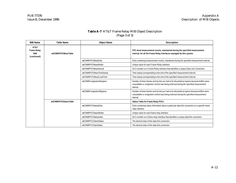# **Table A-7** AT&T Frame Relay MIB Object Description (Page 3 of 3)

| <b>MIB Name</b>                                  | <b>Table Name</b>      | <b>Object Name</b>          | <b>Description</b>                                                                                                                                                                               |
|--------------------------------------------------|------------------------|-----------------------------|--------------------------------------------------------------------------------------------------------------------------------------------------------------------------------------------------|
| AT&T<br><b>Frame Relay</b><br>MIB<br>(continued) | attCNMfrPVCMeasTable   |                             | PVC-level measurement counts, maintained during the specified measurement<br>interval, for all the Frame Relay interfaces managed by this system.                                                |
|                                                  |                        | attCNMfrPVCMeasEntry        | Entry containing measurement counts, maintained during the specified measurement interval                                                                                                        |
|                                                  |                        | attCNMfrPVCMeasIfIndex      | Unique value for each Frame Relay interface.                                                                                                                                                     |
|                                                  |                        | attCNMfrPVCMeasInterval     | DLCI number on a Frame Relay interface that identifies a unique Data Link Connection.                                                                                                            |
|                                                  |                        | attCNMfrPVCMeasTimeStamp    | Time stamp corresponding to the end of the specified measurement interval                                                                                                                        |
|                                                  |                        | attCNMfrPVCMeasLocalTime    | Time stamp corresponding to the end of the specified measurement interval                                                                                                                        |
|                                                  |                        | attCNMfrCongestionAtIngress | Number of times frames sent by this pvc had to be discarded at ingress because buffers were<br>unavailable or congestion control was being enforced during the specified measurement<br>interval |
|                                                  |                        | attCNMfrCongestionAtEgress  | Number of times frames sent by this pvc had to be discarded at egress because buffers were<br>unavailable or congestion control was being enforced during the specified measurement<br>interval  |
|                                                  | attCNMfrPVCStatusTable |                             | Status Table for Frame Relay PVCs                                                                                                                                                                |
|                                                  |                        | attCNMfrPVCStatusEntry      | Entry containing status information about a particular data link connection on a specific frame<br>relay interface                                                                               |
|                                                  |                        | attCNMfrPVCStatusIfIndex    | Unique value for each frame relay interface                                                                                                                                                      |
|                                                  |                        | attCNMfrPVCStatusIndex      | DLCI number on a frame relay interface that identifies a unique data link connection                                                                                                             |
|                                                  |                        | attCNMfrPVCAdminStatus      | The desired state of this data link connection                                                                                                                                                   |
|                                                  |                        | attCNMfrPVCOperStatus       | The desired state of this data link connection                                                                                                                                                   |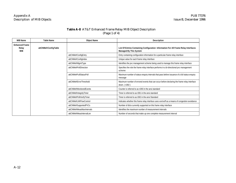# **Table A-8** AT&T Enhanced Frame Relay MIB Object Description (Page 1 of 4)

| <b>MIB Name</b>                              | <b>Table Name</b>    | <b>Object Name</b>        | <b>Description</b>                                                                                                   |
|----------------------------------------------|----------------------|---------------------------|----------------------------------------------------------------------------------------------------------------------|
| <b>Enhanced Frame</b><br>Relay<br><b>MIB</b> | attCNMefrConfigTable |                           | List Of Entries Containing Configuration Information For All Frame Relay Interfaces<br><b>Managed By This System</b> |
|                                              |                      | attCNMefrConfigEntry      | Entry containing configuration information for a particular frame relay interface                                    |
|                                              |                      | attCNMefrConfigIndex      | Unique value for each frame relay interface                                                                          |
|                                              |                      | attCNMefrMgmtType         | Identifies the pvc management scheme being used to manage this frame relay interface                                 |
|                                              |                      | attCNMefrPollDirection    | Specifies the role the frame relay interface performs in a bi-directional pvc management<br>scheme                   |
|                                              |                      | attCNMefrFullStatusPoll   | Maximum number of status enquiry intervals that pass before issuance of a full status enquiry<br>message             |
|                                              |                      | attCNMefrErrorThreshold   | Maximum number of errored events that can occur before declaring the frame relay interface<br>down. (n392)           |
|                                              |                      | attCNMefrMonitoredEvents  | Counter is referred to as n393 in the ansi standard                                                                  |
|                                              |                      | attCNMefrIntegrityTimer   | Timer is referred to as t391 in the ansi standard                                                                    |
|                                              |                      | attCNMefrPollVerifyTimer  | Timer is referred to as t392 in the ansi Standard                                                                    |
|                                              |                      | attCNMefrLMIFlowControl   | Indicates whether this frame relay interface uses xon/xoff as a means of congestion avoidance                        |
|                                              |                      | attCNMefrSupportedPVCs    | Number of dlcis currently supported on this frame relay interface                                                    |
|                                              |                      | attCNMefrMeasMaxIntervals | Identifies the maximum number of measurement intervals                                                               |
|                                              |                      | attCNMefrMeasIntervalLen  | Number of seconds that make up one complete measurement interval                                                     |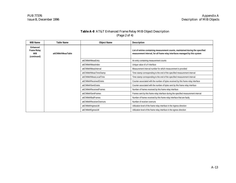# **Table A-8** AT&T Enhanced Frame Relay MIB Object Description (Page 2 of 4)

| MIB Name                                             | Table Name         | <b>Object Name</b>        | <b>Description</b>                                                                                                                                            |
|------------------------------------------------------|--------------------|---------------------------|---------------------------------------------------------------------------------------------------------------------------------------------------------------|
| Enhanced<br><b>Frame Relay</b><br>MIB<br>(continued) | attCNMefrMeasTable |                           | List of entries containing measurement counts, maintained during the specified<br>measurement interval, for all frame relay interfaces managed by this system |
|                                                      |                    | attCNMefrMeasEntry        | An entry containing measurement counts                                                                                                                        |
|                                                      |                    | attCNMefrMeasIndex        | Unique value of a fr interface                                                                                                                                |
|                                                      |                    | attCNMefrMeasInterval     | Measurement interval number for which measurement is provided                                                                                                 |
|                                                      |                    | attCNMefrMeasTimeStamp    | Time stamp corresponding to the end of the specified measurement interval                                                                                     |
|                                                      |                    | attCNMefrMeasLocalTime    | Time stamp corresponding to the end of the specified measurement interval                                                                                     |
|                                                      |                    | attCNMefrReceivedOctets   | Counter associated with the number of bytes received by this frame relay interface                                                                            |
|                                                      |                    | attCNMefrSentOctets       | Counter associated with the number of bytes sent by this frame relay interface                                                                                |
|                                                      |                    | attCNMefrReceivedFrames   | Number of frames received by this frame relay interface                                                                                                       |
|                                                      |                    | attCNMefrSentFrames       | Frames sent by this frame relay interface during the specified measurement interval                                                                           |
|                                                      |                    | attCNMefrBadFrames        | Number of frames received by this frame relay interface that are faulty                                                                                       |
|                                                      |                    | attCNMefrReceiverOverruns | Number of receiver overruns                                                                                                                                   |
|                                                      |                    | attCNMefrIngressUtil      | Utilization level of the frame relay interface in the ingress direction                                                                                       |
|                                                      |                    | attCNMefrEgressUtil       | Utilization level of the frame relay interface in the egress direction                                                                                        |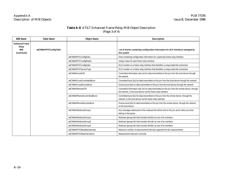### **Table A-8** AT&T Enhanced Frame Relay MIB Object Description (Page 3 of 4)

| <b>MIB Name</b>                                             | <b>Table Name</b>       | <b>Object Name</b>            | <b>Description</b>                                                                                                                                                   |
|-------------------------------------------------------------|-------------------------|-------------------------------|----------------------------------------------------------------------------------------------------------------------------------------------------------------------|
| <b>Enhanced Frame</b><br>Relay<br><b>MIB</b><br>(continued) | attCNMefrPVCConfigTable |                               | List of entries containing configuration information for all fr interfaces managed by<br>this system                                                                 |
|                                                             |                         | attCNMefrPVCConfigEntry       | Entry containing configuration information for a particular frame relay interface                                                                                    |
|                                                             |                         | attCNMefrPVCConfigIfIndex     | Unique value for each frame relay interface                                                                                                                          |
|                                                             |                         | attCNMefrPVCConfigIndex       | DLCI number on a frame relay interface that identifies a unique data link connection                                                                                 |
|                                                             |                         | attCNMefrPVCServiceType       | DLCI number on a frame relay interface that identifies a unique data link connection                                                                                 |
|                                                             |                         | attCNMefrLocalCIR             | Committed information rate (cir) for data transmitted on this pvc from the local device through<br>the network                                                       |
|                                                             |                         | attCNMefrLocalCommittedBurst  | Committed burst (bc) for data transmitted on this pvc from the local device through the network                                                                      |
|                                                             |                         | attCNMefrLocalExcessBurst     | Excess burst (be) for data transmitted on this pvc from the local device through the network                                                                         |
|                                                             |                         | attCNMefrRemoteCIR            | Committed information rate (cir) for data transmitted on this pvc from the remote device, through<br>the network, to the local device via this frame relay interface |
|                                                             |                         | attCNMefrRemoteCommittedBurst | Committed burst (bc) for data transmitted on this pvc from the remote device, through the<br>network, to the local device via this frame relay interface             |
|                                                             |                         | attCNMefrRemoteExcessBurst    | Excess burst (be) for data transmitted on this pvc from the remote device, through the network,<br>to the local device                                               |
|                                                             |                         | attCNMefrMulticastGroup1      | Any messages addressed to this multicast dlci will be sent to this pvc and to other pvcs that<br>belong in this group                                                |
|                                                             |                         | attCNMefrMulticastGroup2      | Multicast (group) dlci that includes thisDlci as one of its members                                                                                                  |
|                                                             |                         | attCNMefrMulticastGroup3      | Multicast (group) dlci that includes this dlci as one of its members                                                                                                 |
|                                                             |                         | attCNMefrMulticastGroup4      | Multicast (group) dlci that includes thisDlci as one of its members                                                                                                  |
|                                                             |                         | attCNMefrPVCMeasMaxIntervals  | Maximum number of measurement intervals supported for the measurements                                                                                               |
|                                                             |                         | attCNMefrPVCMeasIntervalLen   | Measurement interval in seconds                                                                                                                                      |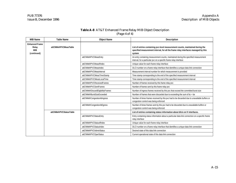# **Table A-8** AT&T Enhanced Frame Relay MIB Object Description (Page 4 of 4)

| <b>MIB Name</b>                                             | <b>Table Name</b>       | <b>Object Name</b>                | <b>Description</b>                                                                                                                                                             |
|-------------------------------------------------------------|-------------------------|-----------------------------------|--------------------------------------------------------------------------------------------------------------------------------------------------------------------------------|
| <b>Enhanced Frame</b><br>Relay<br><b>MIB</b><br>(continued) | attCNMefrPVCMeasTable   |                                   | List of entries containing pvc-level measurement counts, maintained during the<br>specified measurement interval, for all the frame relay interfaces managed by this<br>system |
|                                                             |                         | attCNMefrPVCMeasEntry             | An entry containing measurement counts, maintained during the specified measurement<br>interval, for a particular pvc on a specific frame relay interface                      |
|                                                             |                         | attCNMefrPVCMeasIfIndex           | Unique value for each frame relay interface                                                                                                                                    |
|                                                             |                         | attCNMefrPVCMeasIndex             | DLCI number on a frame relay interface that identifies a unique data link connection                                                                                           |
|                                                             |                         | attCNMefrPVCMeasInterval          | Measurement interval number for which measurement is provided                                                                                                                  |
|                                                             |                         | attCNMefrPVCMeasTimeStamp         | Time stamp corresponding to the end of the specified measurement interval                                                                                                      |
|                                                             |                         | attCNMefrPVCMeasLocalTime         | Time stamp corresponding to the end of the specified measurement interval                                                                                                      |
|                                                             |                         | attCNMefrPVCReceivedFrames        | Number of frames received by this frame relay pvc                                                                                                                              |
|                                                             |                         | attCNMefrPVCSentFrames            | Number of frames sent by this frame relay pvc                                                                                                                                  |
|                                                             |                         | attCNMefrDiscardEligibilityFrames | Number of ingress frames received by this pvc that exceed the committed burst size                                                                                             |
|                                                             |                         | attCNMefrBurstSizeExceeded        | Number of frames that were discarded due to exceeding the sum of bc + be                                                                                                       |
|                                                             |                         | attCNMefrCongestionAtIngress      | Number of times frames received by this pvc had to be discarded due to unavailable buffers or<br>congestion control was being enforced                                         |
|                                                             |                         | attCNMefrCongestionAtEgress       | Number of times frames sent by this pvc had to be discarded due to unavailable buffers or<br>congestion control was being enforced                                             |
|                                                             | attCNMefrPVCStatusTable |                                   | List of entries containing status information about dlcis on fr interfaces.                                                                                                    |
|                                                             |                         | attCNMefrPVCStatusEntry           | Entry containing status information about a particular data link connection on a specific frame<br>relay interface                                                             |
|                                                             |                         | attCNMefrPVCStatusIfIndex         | Unique value for each frame relay interface                                                                                                                                    |
|                                                             |                         | attCNMefrPVCStatusIndex           | DLCI number on a frame relay interface that identifies a unique data link connection                                                                                           |
|                                                             |                         | attCNMefrPVCAdminStatus           | Desired state of this data link connection                                                                                                                                     |
|                                                             |                         | attCNMefrPVCOperStatus            | Current operational state of this data link connection                                                                                                                         |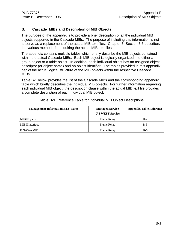### **B. Cascade MIBs and Description of MIB Objects**

The purpose of the appendix is to provide a brief description of all the individual MIB objects supported in the Cascade MIBs. The purpose of including this information is not to serve as a replacement of the actual MIB text files. Chapter 5, Section 5.6 describes the various methods for acquiring the actual MIB text files.

The appendix contains multiple tables which briefly describe the MIB objects contained within the actual Cascade MIBs. Each MIB object is logically organized into either a group object or a table object. In addition, each individual object has an assigned object descriptor (or object name) and an object identifier. The tables provided in this appendix depict the actual logical structure of the MIB objects within the respective Cascade MIBs.

Table B-1 below provides the list of the Cascade MIBs and the corresponding appendix table which briefly describes the individual MIB objects. For further information regarding each individual MIB object, the description clause within the actual MIB text file provides a complete description of each individual MIB object.

| <b>Management Information Base Name</b> | <b>Managed Service</b><br><b>US WEST Service</b> | <b>Appendix Table Reference</b> |
|-----------------------------------------|--------------------------------------------------|---------------------------------|
| <b>MIBII</b> System                     | Frame Relay                                      | $B-2$                           |
| <b>MIBII</b> Interface                  | <b>Frame Relay</b>                               | $B-3$                           |
| FrNetServMIB                            | Frame Relay                                      | $B-6$                           |

**Table B-1** Reference Table for Individual MIB Object Descriptions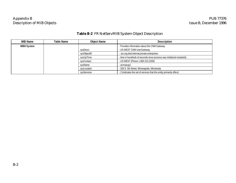# **Table B-2** FR NetServMIB System Object Description

| MIB Name            | Table Name | <b>Object Name</b> | <b>Description</b>                                                      |
|---------------------|------------|--------------------|-------------------------------------------------------------------------|
| <b>MIBII System</b> |            |                    | - Provides information about the CNM Gateway                            |
|                     |            | sysDescr           | - US WEST CNM UserGateway                                               |
|                     |            | sysObjectID        | - .iso.org.dod.internat.private.enterprises                             |
|                     |            | sysUpTime          | - time in hundreds of seconds since process was initialized restarted). |
|                     |            | sysContact         | - US WEST (Phone 1.800.223.2209)                                        |
|                     |            | sysName            | - acmspug1                                                              |
|                     |            | sysLocation        | - 200 S. 5th Street, Minneapolis, Minnesota                             |
|                     |            | sysServices        | - 2 (indicates the set of services that this entity primarily offers)   |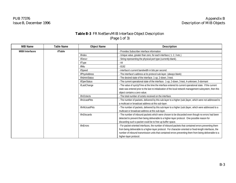# **Table B-3** FR NetServMIB Interface Object Description (Page 1 of 3)

| <b>MIB Name</b>         | <b>Table Name</b> | <b>Object Name</b>   | <b>Description</b>                                                                                         |
|-------------------------|-------------------|----------------------|------------------------------------------------------------------------------------------------------------|
| <b>MIBII Interfaces</b> | ifTable           |                      | - Provides Subscriber interface information                                                                |
|                         |                   | ifIndex              | - Unique value, greater than zero, for each interface.(1, 2, 3 etc.)                                       |
|                         |                   | ifDescr              | - String representing the physical port type (currently blank).                                            |
|                         |                   | ifType               | $-44$                                                                                                      |
|                         |                   | ifMtu                | $-8192$                                                                                                    |
|                         |                   | ifSpeed              | - interface's current bandwidth in bits per second.                                                        |
|                         |                   | <i>ifPhysAddress</i> | - The interface's address at its protocol sub-layer. (always blank)                                        |
|                         |                   | <b>ifAdminStatus</b> | - The desired state of the interface. 1-up, 2-down, 3-test.                                                |
|                         |                   | <i>ifOperStatus</i>  | - The current operational state of the interface. 1-up, 2-down, 3-test, 4-unknown, 5-dormant               |
|                         |                   | ifLastChange         | - The value of sysUpTime at the time the interface entered its current operational state. If the current   |
|                         |                   |                      | state was entered prior to the last re-initialization of the local network management subsystem, then this |
|                         |                   |                      | object contains a zero value.                                                                              |
|                         |                   | ifInOctects          | - The total number of octets received on the interface.                                                    |
|                         |                   | ifInUcastPkts        | - The number of packets, delivered by this sub-layer to a higher (sub-)layer, which were not addressed to  |
|                         |                   |                      | a multicast or broadcast address at this sub-layer.                                                        |
|                         |                   | ifInNUcastPkts       | - The number of packets, delivered by this sub-layer to a higher (sub-)layer, which were addressed to a    |
|                         |                   |                      | multicast or broadcast address at this sub-layer.                                                          |
|                         |                   | ifInDiscards         | - The number of inbound packets which were chosen to be discarded even though no errors had been           |
|                         |                   |                      | detected to prevent their being deliverable to a higher-layer protocol. One possible reason for            |
|                         |                   |                      | discarding such a packet could be to free up buffer space.                                                 |
|                         |                   | ifInErrors           | - For packet-oriented interfaces, the number of inbound packets that contained errors preventing them      |
|                         |                   |                      | from being deliverable to a higher-layer protocol. For character-oriented or fixed-length interfaces, the  |
|                         |                   |                      | number of inbound transmission units that contained errors preventing them from being deliverable to a     |
|                         |                   |                      | higher-layer protocol.                                                                                     |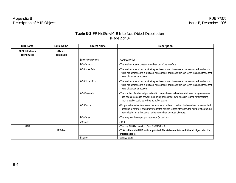# **Table B-3** FR NetServMIB Interface Object Description (Page 2 of 3)

| <b>MIB Name</b>                        | <b>Table Name</b>      | <b>Object Name</b>    | <b>Description</b>                                                                                                                                                                                                                                                    |
|----------------------------------------|------------------------|-----------------------|-----------------------------------------------------------------------------------------------------------------------------------------------------------------------------------------------------------------------------------------------------------------------|
| <b>MIBII Interfaces</b><br>(continued) | ifTable<br>(continued) |                       |                                                                                                                                                                                                                                                                       |
|                                        |                        | ifInUnknownProtos -   | Always zero (0)                                                                                                                                                                                                                                                       |
|                                        |                        | <i>ifOutOctects</i>   | - The total number of octets transmitted out of the interface.                                                                                                                                                                                                        |
|                                        |                        | <i>ifOutUcastPkts</i> | - The total number of packets that higher-level protocols requested be transmitted, and which<br>were not addressed to a multicast or broadcast address at this sub-layer, including those that<br>were discarded or not sent.                                        |
|                                        |                        | ifOutNUcastPkts       | - The total number of packets that higher-level protocols requested be transmitted, and which<br>were not addressed to a multicast or broadcast address at this sub-layer, including those that<br>were discarded or not sent.                                        |
|                                        |                        | ifOutDiscards         | - The number of outbound packets which were chosen to be discarded even though no errors<br>had been detected to prevent their being transmitted. One possible reason for discarding<br>such a packet could be to free up buffer space.                               |
|                                        |                        | <b>ifOutErrors</b>    | - For packet-oriented interfaces, the number of outbound packets that could not be transmitted<br>because of errors. For character-oriented or fixed-length interfaces, the number of outbound<br>transmission units that could not be transmitted because of errors. |
|                                        |                        | ifOutOLen             | - The length of the output packet queue (in packets).                                                                                                                                                                                                                 |
|                                        |                        | ifSpecific            | $-0.11.4$                                                                                                                                                                                                                                                             |
| ifMIB                                  |                        |                       | - This is a SNMPv1 version of this SNMPV2 MIB                                                                                                                                                                                                                         |
|                                        | ifXTable               |                       | - This is the only ifMIB table supported. This table contains additional objects for the<br>interface table.                                                                                                                                                          |
|                                        |                        | ifName                | - Always blank.                                                                                                                                                                                                                                                       |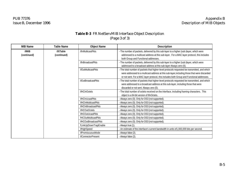# **Table B-3** FR NetServMIB Interface Object Description (Page 3 of 3)

| <b>MIB Name</b>      | Table Name              | <b>Object Name</b>          | <b>Description</b>                                                                                                                                                                                                                                                                         |
|----------------------|-------------------------|-----------------------------|--------------------------------------------------------------------------------------------------------------------------------------------------------------------------------------------------------------------------------------------------------------------------------------------|
| ifMIB<br>(continued) | ifXTable<br>(continued) | ifInMulticastPkts           | - The number of packets, delivered by this sub-layer to a higher (sub-)layer, which were<br>addressed to a multicast address at this sub-layer. For a MAC layer protocol, this includes<br>both Group and Functional addresses.                                                            |
|                      |                         | ifInBroadcastPkts           | - The number of packets, delivered by this sub-layer to a higher (sub-)layer, which were<br>addressed to a broadcast address at this sub-layer Always zero (0).                                                                                                                            |
|                      |                         | ifOutMulticastPkts          | - The total number of packets that higher-level protocols requested be transmitted, and which<br>were addressed to a multicast address at this sub-layer, including those that were discarded<br>or not sent. For a MAC layer protocol, this includes both Group and Functional addresses. |
|                      |                         | <i>ifOutBroadcastPkts</i>   | - The total number of packets that higher-level protocols requested be transmitted, and which<br>were addressed to a broadcast address at this sub-layer, including those that were<br>discarded or not sent. Always zero (0).                                                             |
|                      |                         | <b>ifHCInOctets</b>         | - The total number of octets received on the interface, including framing characters. This<br>object is a 64-bit version of ifInOctets.                                                                                                                                                    |
|                      |                         | ifHCInUcastPkts             | - Always zero (0). Only for DS3 (not supported).                                                                                                                                                                                                                                           |
|                      |                         | ifHCInMulticastPkts         | - Always zero (0). Only for DS3 (not supported).                                                                                                                                                                                                                                           |
|                      |                         | <b>ifHCInBroadcastPkts</b>  | - Always zero (0). Only for DS3 (not supported).                                                                                                                                                                                                                                           |
|                      |                         | <b>ifHCOutOctets</b>        | - Always zero (0). Only for DS3 (not supported).                                                                                                                                                                                                                                           |
|                      |                         | ifHCOutUcastPkts            | - Always zero (0). Only for DS3 (not supported).                                                                                                                                                                                                                                           |
|                      |                         | fHCOutMulticastPkts         | - Always zero (0). Only for DS3 (not supported).                                                                                                                                                                                                                                           |
|                      |                         | <b>ifHCOutBroadcastPkts</b> | - Always zero (0). Only for DS3 (not supported).                                                                                                                                                                                                                                           |
|                      |                         | fLinkUpDownTrapEnable       | - Always true (1).                                                                                                                                                                                                                                                                         |
|                      |                         | ifHighSpeed                 | - An estimate of the interface's current bandwidth in units of1,000,000 bits per second.                                                                                                                                                                                                   |
|                      |                         | <i>ifPromiscuousMode</i>    | - Always false (2).                                                                                                                                                                                                                                                                        |
|                      |                         | <i>ifConnectorPresent</i>   | - Always false (2).                                                                                                                                                                                                                                                                        |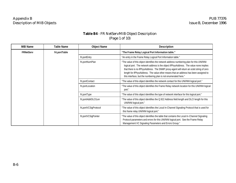# **Table B4** - FR NetServMIB Object Description (Page 1 of 10)

| <b>MIB Name</b>  | Table Name   | <b>Object Name</b>   | <b>Description</b>                                                                                                                                                                                                                                                                                                                                                                                                                       |
|------------------|--------------|----------------------|------------------------------------------------------------------------------------------------------------------------------------------------------------------------------------------------------------------------------------------------------------------------------------------------------------------------------------------------------------------------------------------------------------------------------------------|
| <b>FRNetServ</b> | frLportTable |                      | "The Frame Relay Logical Port Information table."                                                                                                                                                                                                                                                                                                                                                                                        |
|                  |              | frLportEntry         | "An entry in the Frame Relay Logical Port Information table."                                                                                                                                                                                                                                                                                                                                                                            |
|                  |              | frLportNumPlan       | "The value of this object identifies the network address numbering plan for this UNI/NNI<br>logical port. The network address is the object ifPhysAddress. The value none implies<br>that there is no ifPhysAddress. The SNMP proxy-agent will return an octet string of zero<br>length for ifPhysAddress. The value other means that an address has been assigned to<br>this interface, but the numbering plan is not enumerated here." |
|                  |              | frLportContact       | "The value of this object identifies the network contact for this UNI/NNI logical port."                                                                                                                                                                                                                                                                                                                                                 |
|                  |              | frLportLocation      | "The value of this object identifies the Frame Relay network location for this UNI/NNI logical<br>port."                                                                                                                                                                                                                                                                                                                                 |
|                  |              | frLportType          | "The value of this object identifies the type of network interface for this logical port."                                                                                                                                                                                                                                                                                                                                               |
|                  |              | frLportAddrDLCILen   | "The value of this object identifies the Q.922 Address field length and DLCI length for this<br>UNI/NNI logical port."                                                                                                                                                                                                                                                                                                                   |
|                  |              | frLportVCSigProtocol | "The value of this object identifies the Local In-Channel Signaling Protocol that is used for<br>this frame relay UNI/NNI logical port."                                                                                                                                                                                                                                                                                                 |
|                  |              | frLportVCSigPointer  | "The value of this object identifies the table that contains the Local In-Channel Signaling<br>Protocol parameters and errors for this UNI/NNI logical port. See the Frame Relay<br>Management VC Signaling Parameters and Errors Group."                                                                                                                                                                                                |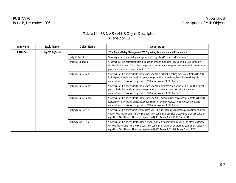# **Table B4 -** FR NetServMIB Object Description (Page 2 of 10)

| <b>MIB Name</b>   | Table Name      | <b>Object Name</b> | <b>Description</b>                                                                                                                                                                                                                                                                                       |                                                                                                                                                                                                                                                                                                           |
|-------------------|-----------------|--------------------|----------------------------------------------------------------------------------------------------------------------------------------------------------------------------------------------------------------------------------------------------------------------------------------------------------|-----------------------------------------------------------------------------------------------------------------------------------------------------------------------------------------------------------------------------------------------------------------------------------------------------------|
| <b>FRNetServc</b> | frMgtVCSigTable |                    | "The Frame Relay Management VC Signaling Parameters and Errors table."                                                                                                                                                                                                                                   |                                                                                                                                                                                                                                                                                                           |
|                   |                 | frMgtVCSigEntry    | "An entry in the Frame Relay Management VC Signaling Parameters Errors table."                                                                                                                                                                                                                           |                                                                                                                                                                                                                                                                                                           |
|                   |                 | frMgtVCSigProced   | "The value of this object identifies the Local In-channel Signaling Procedure that is used for this<br>UNI/NNI logical port. The UNI/NNI logical port can be performing only user-to-network network-side<br>procedures or bi-directional procedures."                                                   |                                                                                                                                                                                                                                                                                                           |
|                   |                 | frMgtVCSigUserN391 | "The value of this object identifies the User-side N391 full status polling cycle value for this UNI/NNI<br>logical port. If the logical port is not performing user-side procedures then this value is equal to<br>noSuchName. This object applies to Q.933 Annex A and T1.617 Annex D."                |                                                                                                                                                                                                                                                                                                           |
|                   |                 | frMgtVCSigUserN392 | "The value of this object identifies the User-side N392 error threshold value for this UNI/NNI logical<br>port. If the logical port is not performing user-side procedures, then this value is equal to<br>noSuchName. This object applies to Q.933 Annex A and T1.617 Annex D."                         |                                                                                                                                                                                                                                                                                                           |
|                   |                 |                    | frMgtVCSigUserN393                                                                                                                                                                                                                                                                                       | "The value of this object identifies the User-side N393 monitored events count value for this UNI/NNI<br>logical port. If the logical port is not performing use-side procedures, then this value is equal to<br>noSuchName. This object applies to Q.933 Annex A and T1.617 Annex D."                    |
|                   |                 |                    | frMgtVCSigUserT391                                                                                                                                                                                                                                                                                       | "The value of this object identifies the User-side T391 link integrity verification polling timer value for<br>this UNI/NNI logical port. If the logical port is not performing use-side procedures, then this value is<br>equal to noSuchName. This object applies to Q.933 Annex A and T1.617 Annex D." |
|                   |                 | frMgtVCSigNetT392  | "The value of this object identifies the Network-side N392 error threshold value (nN2 for LMI) for the<br>UNI/NNI logical port. If the logical port is not performing network-side procedures, then this value is<br>equal to noSuchName. This object applies to Q.933 Annex A, T1.617 Annex D and LMI." |                                                                                                                                                                                                                                                                                                           |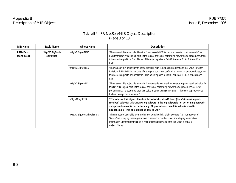# **Table B4** - FR NetServMIB Object Description (Page 3 of 10)

| <b>MIB Name</b>                  | <b>Table Name</b>              | <b>Object Name</b>          | <b>Description</b>                                                                                                                                                                                                                                                                                                                                 |
|----------------------------------|--------------------------------|-----------------------------|----------------------------------------------------------------------------------------------------------------------------------------------------------------------------------------------------------------------------------------------------------------------------------------------------------------------------------------------------|
| <b>FRNetServc</b><br>(continued) | frMgtVCSigTable<br>(continued) | frMgtVCSigNetN393           | "The value of this object identifies the Network-side N393 monitored events count value (nN3 for<br>LMI) for this UNI/NNI logical port. If the logical port is not performing network-side procedures, then<br>this value is equal to noSuchName. This object applies to Q.933 Annex A, T1.617 Annex D and<br>$LMI.$ "                             |
|                                  |                                | frMgtVCSigNetN392           | "The value of this object identifies the Network-side T392 polling verification timer value (nN3 for<br>LMI) for this UNI/NNI logical port. If the logical port is not performing network-side procedures, then<br>this value is equal to noSuchName. This object applies to Q.933 Annex A, T1.617 Annex D and<br>LMI."                            |
|                                  |                                | frMgtVCSigNetnN4            | "The value of this object identifies the Network-side nN4 maximum status inquires received value for<br>this UNI/NNI logical port. If the logical port is not performing network-side procedures, or is not<br>performing LMI procedures, then this value is equal to noSuchName. This object applies only to<br>LMI and always has a value of 5." |
|                                  |                                | frMgtVCSigetnT3             | "The value of this object identifies the Network-side nT3 timer (for nN4 status inquires<br>received) value for this UNI/NNI logical port. If the logical port is not performing network-<br>side procedures or is not performing LMI procedures, then this value is equal to<br>noSuchName. This object applies only to LMI."                     |
|                                  |                                | frMgtVCSigUserLinkRelErrors | "The number of user-side local in-channel signaling link reliability errors (i.e., non-receipt of<br>Status/Status Inquiry messages or invalid sequence numbers in a Link Integrity Verification<br>Information Element) for this port is not performing user-side then this value is equal to<br>noSuchName.                                      |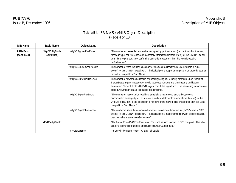# **Table B4** - FR NetServMIB Object Description (Page 4 of 10)

| <b>MIB Name</b>                  | Table Name                     | <b>Object Name</b>         | <b>Description</b>                                                                                                                                                                                                                                                                                                                                                   |
|----------------------------------|--------------------------------|----------------------------|----------------------------------------------------------------------------------------------------------------------------------------------------------------------------------------------------------------------------------------------------------------------------------------------------------------------------------------------------------------------|
| <b>FRNetServc</b><br>(continued) | frMgtVCSigTable<br>(continued) | frMgtVCSigUserProtErrors   | "The number of user-side local in-channel signaling protocol errors (i.e., protocol discriminator,<br>message type, call reference, and mandatory information element errors) for this UNI/NNI logical<br>port. If the logical port is not performing user-side procedures, then this value is equal to<br>noSuchName."                                              |
|                                  |                                | frMgtVCSigUserChanInactive | The number of times the user-side channel was declared inactive (i.e., N392 errors in N393<br>events) for this UNI/NNI logical port. If the logical port is not performing user-side procedures, then<br>this value is equal to noSuchName.                                                                                                                          |
|                                  |                                | frMgtVCSigNetLinkRelErrors | The number of network-side local in-channel signaling link reliability errors (i.e., non-receipt of<br>Status/Status Inquiry messages or invalid sequence numbers in a Link Integrity Verification<br>Information Element) for this UNI/NNI logical port. If the logical port is not performing Network-side<br>procedures, then this value is equal to noSuchName." |
|                                  |                                | frMgtVCSigNetProtErrors    | "The number of network-side local in-channel signaling protocol errors (i.e., protocol<br>discriminator, message type, call reference, and mandatory information element errors) for this<br>UNI/NNI logical port. If the logical port is not performing network-side procedures, then this value<br>is equal to noSuchName."                                        |
|                                  |                                | frMgtVCSignetChanInactive  | "The number of times the network-side channel was declared inactive (i.e., N392 errors in N393<br>events) for this UNI/NNI logical port. If the logical port is not performing network-side procedures,<br>then this value is equal to noSuchName."                                                                                                                  |
|                                  | frPVCEndptTable                |                            | "The Frame Relay PVC End-Point table. This table is used to model a PVC end-point. This table<br>contains the traffic parameters and statistics for a PVC end-point."                                                                                                                                                                                                |
|                                  |                                | frPVCEndptEntry            | "An entry in the Frame Relay PVC End-Point table."                                                                                                                                                                                                                                                                                                                   |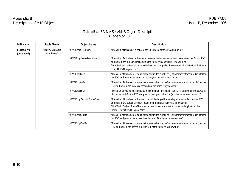# **Table B4** - FR NetServMIB Object Description (Page 5 of 10)

| <b>MIB Name</b>                  | Table Name                     | <b>Object Name</b>        | <b>Description</b>                                                                                                                                                                                                                                                                                                            |
|----------------------------------|--------------------------------|---------------------------|-------------------------------------------------------------------------------------------------------------------------------------------------------------------------------------------------------------------------------------------------------------------------------------------------------------------------------|
| <b>FRNetServc</b><br>(continued) | frMgtVCSigTable<br>(continued) | frPVCEndptDLCIIndex       | "The value of this object is equal to the DLCI value for this PVC end-point."                                                                                                                                                                                                                                                 |
|                                  |                                | frPVCEndptlnMaxFrameSize  | "The value of this object is the size in octets of the largest frame relay information field for this PVC<br>end-point in the ingress direction (into the frame relay network). The value of<br>frPVCEndptInMaxFrameSize must be less than or equal to the corresponding ifMtu for this Frame<br>Relay UNI/NNI logical port." |
|                                  |                                | frPVCEndptInBc            | "The value of this object is equal to the committed burst size (Bc) parameter (measured in bits) for<br>this PVC end-point in the ingress direction (into the frame relay network)."                                                                                                                                          |
|                                  |                                | frPVCEndptInBe            | "The value of this object is equal to the excess burst size (Be) parameter (measured in bits) for this<br>PVC end-point in the ingress direction (into the frame relay network)."                                                                                                                                             |
|                                  |                                | frPVCEndptInCIR           | "The value of this object is equal to the committed information rate (CIR) parameter (measured in<br>bits per second) for the PVC end-point in the ingress direction (into the frame relay network)."                                                                                                                         |
|                                  |                                | frPVCEndptOutMaxFrameSize | "The value of this object is the size octets of the largest frame relay information field for this PVC<br>end-point in the egress direction (out of the frame relay network). The value of<br>frPVCEndptOutMaxFrameSize must be less than or equal to the corresponding ifMtu for this<br>Frame Relay UNI/NNI logical port."  |
|                                  |                                | frPVCEndptOutBc           | "The value of this object is equal to the committed burst size (Bc) parameter (measured in bits) for<br>this PVC end-point in the egress direction (out of the frame relay network)."                                                                                                                                         |
|                                  |                                | frPVCEndptOutBe           | "The value of this object is equal to the excess burst size (Be) parameter (measured in bits) for this<br>PVC end-point in the egress direction (out of the frame relay network)."                                                                                                                                            |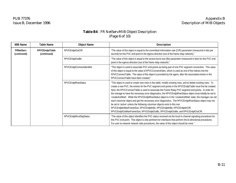# **Table B4** - FR NetServMIB Object Description (Page 6 of 10)

| <b>MIB Name</b>                                | <b>Table Name</b> | <b>Object Name</b>          | <b>Description</b>                                                                                                                                                                                                                                                                                                                                                                                                                                                                                                                                                                                                                                                                                                                                                                                                                                                                                                          |
|------------------------------------------------|-------------------|-----------------------------|-----------------------------------------------------------------------------------------------------------------------------------------------------------------------------------------------------------------------------------------------------------------------------------------------------------------------------------------------------------------------------------------------------------------------------------------------------------------------------------------------------------------------------------------------------------------------------------------------------------------------------------------------------------------------------------------------------------------------------------------------------------------------------------------------------------------------------------------------------------------------------------------------------------------------------|
| <b>FRNetServ</b><br>(continued)<br>(continued) | frPVCEndptTable   | frPVCEndptOutCIR            | "The value of this object is equal to the committed information rate (CIR) parameter (measured in bits per<br>second) for this PVC end-point in the egress direction (out of the frame relay network)."                                                                                                                                                                                                                                                                                                                                                                                                                                                                                                                                                                                                                                                                                                                     |
|                                                |                   | frPVCEndptOutBe             | "The value of this object is equal to the excess burst size (Be) parameter (measured in bits) for this PVC end-<br>point in the egress direction (out of the frame relay network)."                                                                                                                                                                                                                                                                                                                                                                                                                                                                                                                                                                                                                                                                                                                                         |
|                                                |                   | frPVCEndptConnectIdentifier | "This object is used to associate PVC end-points as being part of one PVC segment connection. This value<br>of this object is equal to the value of frPVCConnectIndex, which is used as one of the indices into the<br>frPVCConnectTable. The value of this object is provided by the agent, after the associated entries in the<br>frPVCConnectTable have been created."                                                                                                                                                                                                                                                                                                                                                                                                                                                                                                                                                   |
|                                                |                   | frPVCEndptRowStatus         | "This object is used to create new rows in this table, modify existing rows, and to delete existing rows. To<br>create a new PVC, the entries for the PVC segment end-points in the frPVCEndptTable must first be created.<br>Next, the frPVCConnectTable is used to associate the Frame Relay PVC segment end-points. In order for<br>the manage to have the necessary error diagnostics, the frPVCEndptRowStatus object must initially be set to<br>'createAndWait'. While the frPVCEndptRowStatus object is in the 'createAndWait' state, the manager can set<br>each columnar object and get the necessary error diagnostics. The frPVCEndptRowStatus object may not<br>be set to 'active' unless the following columnar objects exist in this row:<br>frPVCEndptInMaxFrameSize, frPVCEndptInBc, frPVCEndptInBe, frPVCEndptInCIR,<br>frPVCEndptOutMaxFrameSize, frPVCEndptOutBc, frPVCEndptOutBe, and frPVCEndptOutCIR. |
|                                                |                   | frPVCEndptRcvdSigStatus     | "The value of this object identifies the PVC status received via the local in-channel signaling procedures for<br>this PVC end-point. This object is only pertinent for interfaces that perform the bi-directional procedures.<br>For user-to-network network side procedures, the value of this object should be none."                                                                                                                                                                                                                                                                                                                                                                                                                                                                                                                                                                                                    |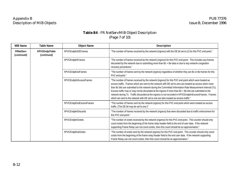# **Table B4** - FR NetServMIB Object Description (Page 7 of 10)

| <b>MIB Name</b>                 | <b>Table Name</b>              | <b>Object Name</b>        | <b>Description</b>                                                                                                                                                                                                                                                                                                                                                                                                                                                                                                                                                                                                                              |
|---------------------------------|--------------------------------|---------------------------|-------------------------------------------------------------------------------------------------------------------------------------------------------------------------------------------------------------------------------------------------------------------------------------------------------------------------------------------------------------------------------------------------------------------------------------------------------------------------------------------------------------------------------------------------------------------------------------------------------------------------------------------------|
| <b>FRNetServ</b><br>(continued) | frPVCEndptTable<br>(continued) | frPVCEndptInDEFrames      | "The number of frames received by the network (ingress) with the DE bit set to (1) for this PVC end-point."                                                                                                                                                                                                                                                                                                                                                                                                                                                                                                                                     |
|                                 |                                | frPVCEndptInFrames        | 'The number of frames received by the network (ingress) for this PVC end-point. This includes any frames<br>discarded by the network due to submitting more than Bc + Be data or due to any network congestion<br>recovery procedures."                                                                                                                                                                                                                                                                                                                                                                                                         |
|                                 |                                | frPVCEndptOutFrames       | "The number of frames sent by the network (egress) regardless of whether they are Bc or Be frames for this<br>PVC end-point."                                                                                                                                                                                                                                                                                                                                                                                                                                                                                                                   |
|                                 |                                | frPVCEndptInExcessFrames  | "The number of frames received by the network (ingress) for this PVC end-point which were treated as<br>excess traffic. Frames which are sent to the network with DE set to zero are treated as excess when more<br>than Bc bits are submitted to the network during the Committed Information Rate Measurement Interval (Tc).<br>Excess traffic may or may not be discarded at the ingress if more than Bc + Be bits are submitted to the<br>network during Tc. Traffic discarded at the ingress is not recorded in frPVCEndptInExcessFrames. Frames<br>".which are sent to the network with DE set to one are also treated as excess traffic. |
|                                 |                                | frPVCEndptOutExcessFrames | "The number of frames sent by the network (egress) for this PVC end-point which were treated as excess<br>traffic. (The DE bit may be set to one.)"                                                                                                                                                                                                                                                                                                                                                                                                                                                                                             |
|                                 |                                | frPVCEndptInDiscards      | "The number of frames received by the network (ingress) that were discarded due to traffic enforcement for<br>this PVC end-point."                                                                                                                                                                                                                                                                                                                                                                                                                                                                                                              |
|                                 |                                | frPVCEndptInOctets        | "The number of octets received by the network (ingress) for this PVC end-point. This counter should only<br>count octets from the beginning of the frame relay header field to the end of user data. If the network<br>supporting Frame Relay can not count octets, then this count should be an approximation."                                                                                                                                                                                                                                                                                                                                |
|                                 |                                | frPVCEndptOutOctets       | "The number of octets sent by the network (egress) for this PVC end-point. This counter should only count<br>octets from the beginning of the frame relay header field to the end user data. If the network supporting<br>Frame Relay can not count octets, then this count should be an approximation."                                                                                                                                                                                                                                                                                                                                        |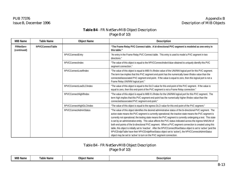# **Table B4** - FR NetServMIB Object Description (Page 8 of 10)

| <b>MIB Name</b>                 | <b>Table Name</b> | <b>Object Name</b>        | <b>Description</b>                                                                                                                                                                                                                                                                                                                                                                                                                                                                                                                                                                                                                                                                                                                                                                                                                                                            |
|---------------------------------|-------------------|---------------------------|-------------------------------------------------------------------------------------------------------------------------------------------------------------------------------------------------------------------------------------------------------------------------------------------------------------------------------------------------------------------------------------------------------------------------------------------------------------------------------------------------------------------------------------------------------------------------------------------------------------------------------------------------------------------------------------------------------------------------------------------------------------------------------------------------------------------------------------------------------------------------------|
| <b>FRNetServ</b><br>(continued) | frPVCConnectTable |                           | "The Frame Relay PVC Connect table. A bi-directional PVC segment is modeled as one entry in<br>this table."                                                                                                                                                                                                                                                                                                                                                                                                                                                                                                                                                                                                                                                                                                                                                                   |
|                                 |                   | frPVCConnectEntry         | "An entry in the Frame Relay PVC Connect table. This entry is used to model a PVC segment in two<br>directions."                                                                                                                                                                                                                                                                                                                                                                                                                                                                                                                                                                                                                                                                                                                                                              |
|                                 |                   | frPVCConnectIndex         | "The value of this object is equal to the frPVCConnectIndexValue obtained to uniquely identify this PVC<br>segment connection."                                                                                                                                                                                                                                                                                                                                                                                                                                                                                                                                                                                                                                                                                                                                               |
|                                 |                   | frPVCConnectLowIfIndex    | "The value of this object is equal to MIB II's ifIndex value of the UNI/NNI logical port for this PVC segment.<br>The term low implies that this PVC segment end-point has the numerically lower if ndex value than the<br>connected/associated PVC segment end-point. If the value is equal to zero, then this logical port is not a<br>Frame Relay UNI/NNI logical port."                                                                                                                                                                                                                                                                                                                                                                                                                                                                                                   |
|                                 |                   | frPVCConnectLowDLCIIndex  | "The value of this object is equal to the DLCI value for this end-point of the PVC segment. If the value is<br>equal to zero, then this end-point of the PVC segment is not a Frame Relay connection."                                                                                                                                                                                                                                                                                                                                                                                                                                                                                                                                                                                                                                                                        |
|                                 |                   | frPVCConnectHighIfIndex   | "The value of this object is equal to MIB II's ifIndex for the UNI/NNI logical port for this PVC segment. The<br>term high implies that this PVC segment end-point has the numerically higher iflndex value than the<br>connected/associated PVC segment end-point."                                                                                                                                                                                                                                                                                                                                                                                                                                                                                                                                                                                                          |
|                                 |                   | frPVCConnectHighDLCIIndex | "The value of this object is equal to the egress DLCI value for this end-point of the PVC segment."                                                                                                                                                                                                                                                                                                                                                                                                                                                                                                                                                                                                                                                                                                                                                                           |
|                                 |                   | frPVCConnectAdminStatus   | "The value of this object identifies the desired administrative status of the bi-directional PVC segment. The<br>active state means the PVC segment is currently operational; the inactive state means the PVC segment is<br>currently not operational; the testing state means the PVC segment is currently undergoing a test. This state<br>is set by an administrative entity. This value affects the PVC status indicated across the ingress NNI/UNI of<br>both end-points of the bi-directional PVC segment. When a PVC segment connection is created using this<br>table, this object is initially set to 'inactive'. After the frPVCConnectRowStatus object is set to 'active' (and the<br>frPVCEndptTable have their frPVCEndptRowStatus object set to 'active'), the frPVCConnectAdminStatus<br>object may be set to 'active' to turn on the PVC segment connection. |

# Table B4 - FR NetServMIB Object Description (Page 9 of 10)

| <b>MIB</b><br>--<br>3 Name | l able<br>Name | Obie<br>† Name | Des/<br>scription |
|----------------------------|----------------|----------------|-------------------|
|                            |                |                |                   |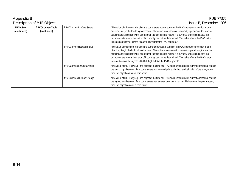| Appendix B                                                          |                                   |                                                                                                                                                                                                                                                                                                                                                                                                                                                                                                                                 | <b>PUB 77376</b>                                                                                                                                                                                                                                                                                                                                                                                                                                                                                                                 |
|---------------------------------------------------------------------|-----------------------------------|---------------------------------------------------------------------------------------------------------------------------------------------------------------------------------------------------------------------------------------------------------------------------------------------------------------------------------------------------------------------------------------------------------------------------------------------------------------------------------------------------------------------------------|----------------------------------------------------------------------------------------------------------------------------------------------------------------------------------------------------------------------------------------------------------------------------------------------------------------------------------------------------------------------------------------------------------------------------------------------------------------------------------------------------------------------------------|
|                                                                     | <b>Description of MIB Objects</b> |                                                                                                                                                                                                                                                                                                                                                                                                                                                                                                                                 | Issue B, December 1996                                                                                                                                                                                                                                                                                                                                                                                                                                                                                                           |
| <b>FRNetServ</b><br>frPVCConnectTable<br>(continued)<br>(continued) | frPVCConnectL2hOperStatus         | "The value of this object identifies the current operational status of the PVC segment connection in one<br>direction; (i.e., in the low to high direction). The active state means it is currently operational; the inactive<br>state means it is currently not operational; the testing state means it is currently undergoing a test; the<br>unknown state means the status of it currently can not be determined. This value affects the PVC status<br>indicated across the ingress NNI/UNI (low side) of the PVC segment." |                                                                                                                                                                                                                                                                                                                                                                                                                                                                                                                                  |
|                                                                     |                                   | frPVCConnectH21OperStatus                                                                                                                                                                                                                                                                                                                                                                                                                                                                                                       | "The value of this object identifies the current operational status of the PVC segment connection in one<br>direction; (i.e., in the high to low direction). The active state means it is currently operational; the inactive<br>state means it is currently not operational; the testing state means it is currently undergoing a test; the<br>unknown state means the status of it currently can not be determined. This value affects the PVC status<br>indicated across the ingress NNI/UNI (high side) of the PVC segment." |
|                                                                     |                                   | frPVCConnectL2hLastChange                                                                                                                                                                                                                                                                                                                                                                                                                                                                                                       | "The value of MIB II's sysUpTime object at the time this PVC segment entered its current operational state in<br>the low to high direction. If the current state was entered prior to the last re-initialization of the proxy-agent<br>then this object contains a zero value.                                                                                                                                                                                                                                                   |
|                                                                     |                                   | frPVCConnectH21LastChange                                                                                                                                                                                                                                                                                                                                                                                                                                                                                                       | "The value of MIB II's sysUpTime object at the time this PVC segment entered its current operational state in<br>the high to low direction. If the current state was entered prior to the last re-initialization of the proxy-agent,<br>then this object contains a zero value."                                                                                                                                                                                                                                                 |